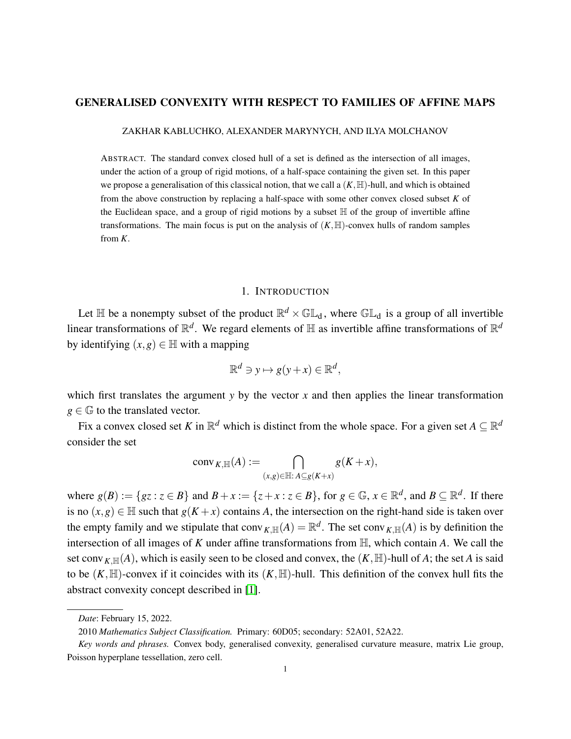#### GENERALISED CONVEXITY WITH RESPECT TO FAMILIES OF AFFINE MAPS

ZAKHAR KABLUCHKO, ALEXANDER MARYNYCH, AND ILYA MOLCHANOV

ABSTRACT. The standard convex closed hull of a set is defined as the intersection of all images, under the action of a group of rigid motions, of a half-space containing the given set. In this paper we propose a generalisation of this classical notion, that we call a  $(K, \mathbb{H})$ -hull, and which is obtained from the above construction by replacing a half-space with some other convex closed subset *K* of the Euclidean space, and a group of rigid motions by a subset  $\mathbb H$  of the group of invertible affine transformations. The main focus is put on the analysis of  $(K, \mathbb{H})$ -convex hulls of random samples from *K*.

#### 1. INTRODUCTION

Let  $\mathbb H$  be a nonempty subset of the product  $\mathbb R^d \times \mathbb G\mathbb L_{d}$ , where  $\mathbb G\mathbb L_{d}$  is a group of all invertible linear transformations of  $\mathbb{R}^d$ . We regard elements of  $\mathbb H$  as invertible affine transformations of  $\mathbb{R}^d$ by identifying  $(x, g) \in \mathbb{H}$  with a mapping

$$
\mathbb{R}^d \ni y \mapsto g(y+x) \in \mathbb{R}^d,
$$

which first translates the argument  $y$  by the vector  $x$  and then applies the linear transformation  $g \in \mathbb{G}$  to the translated vector.

Fix a convex closed set *K* in  $\mathbb{R}^d$  which is distinct from the whole space. For a given set  $A \subseteq \mathbb{R}^d$ consider the set

$$
conv_{K,\mathbb{H}}(A) := \bigcap_{(x,g)\in\mathbb{H}: A\subseteq g(K+x)} g(K+x),
$$

where  $g(B) := \{gz : z \in B\}$  and  $B + x := \{z + x : z \in B\}$ , for  $g \in \mathbb{G}$ ,  $x \in \mathbb{R}^d$ , and  $B \subseteq \mathbb{R}^d$ . If there is no  $(x, g) \in \mathbb{H}$  such that  $g(K + x)$  contains *A*, the intersection on the right-hand side is taken over the empty family and we stipulate that  $conv_{K,\mathbb{H}}(A) = \mathbb{R}^d$ . The set  $conv_{K,\mathbb{H}}(A)$  is by definition the intersection of all images of *K* under affine transformations from H, which contain *A*. We call the set conv<sub>K,H(</sub> $(A)$ ), which is easily seen to be closed and convex, the  $(K, \mathbb{H})$ -hull of A; the set A is said to be  $(K, \mathbb{H})$ -convex if it coincides with its  $(K, \mathbb{H})$ -hull. This definition of the convex hull fits the abstract convexity concept described in [\[1\]](#page-34-0).

*Date*: February 15, 2022.

<sup>2010</sup> *Mathematics Subject Classification.* Primary: 60D05; secondary: 52A01, 52A22.

*Key words and phrases.* Convex body, generalised convexity, generalised curvature measure, matrix Lie group, Poisson hyperplane tessellation, zero cell.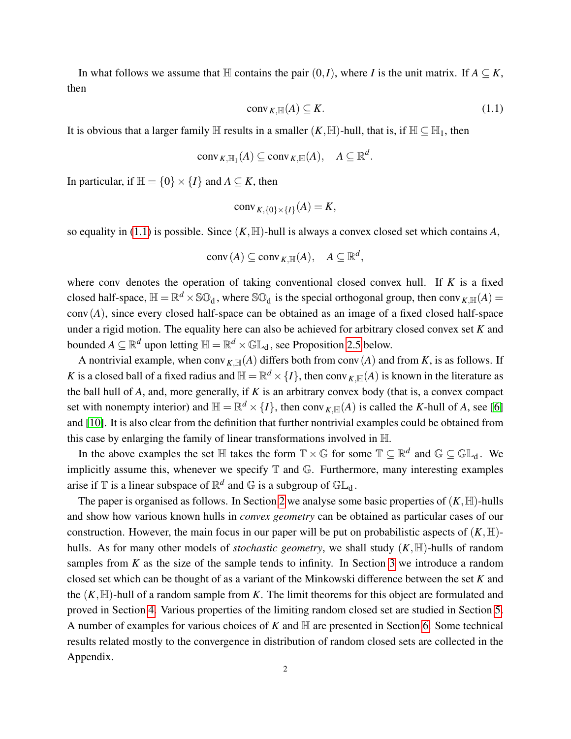In what follows we assume that  $\mathbb{H}$  contains the pair  $(0, I)$ , where *I* is the unit matrix. If  $A \subseteq K$ , then

<span id="page-1-0"></span>
$$
conv_{K,\mathbb{H}}(A) \subseteq K. \tag{1.1}
$$

It is obvious that a larger family  $\mathbb H$  results in a smaller  $(K, \mathbb H)$ -hull, that is, if  $\mathbb H \subseteq \mathbb H_1$ , then

$$
conv_{K,\mathbb{H}_1}(A) \subseteq conv_{K,\mathbb{H}}(A), \quad A \subseteq \mathbb{R}^d.
$$

In particular, if  $\mathbb{H} = \{0\} \times \{I\}$  and  $A \subseteq K$ , then

$$
conv_{K, \{0\} \times \{I\}}(A) = K,
$$

so equality in [\(1.1\)](#page-1-0) is possible. Since  $(K, \mathbb{H})$ -hull is always a convex closed set which contains A,

$$
conv(A) \subseteq conv_{K,\mathbb{H}}(A), \quad A \subseteq \mathbb{R}^d,
$$

where conv denotes the operation of taking conventional closed convex hull. If *K* is a fixed closed half-space,  $\mathbb{H} = \mathbb{R}^d \times \mathbb{SO}_d$ , where  $\mathbb{SO}_d$  is the special orthogonal group, then conv $_{K,\mathbb{H}}(A)$  = conv(*A*), since every closed half-space can be obtained as an image of a fixed closed half-space under a rigid motion. The equality here can also be achieved for arbitrary closed convex set *K* and bounded  $A \subseteq \mathbb{R}^d$  upon letting  $\mathbb{H} = \mathbb{R}^d \times \mathbb{GL}_d$ , see Proposition [2.5](#page-4-0) below.

A nontrivial example, when conv<sub>K,H(</sub> $(A)$ ) differs both from conv( $A$ ) and from  $K$ , is as follows. If *K* is a closed ball of a fixed radius and  $\mathbb{H} = \mathbb{R}^d \times \{I\}$ , then conv $_{K,\mathbb{H}}(A)$  is known in the literature as the ball hull of *A*, and, more generally, if *K* is an arbitrary convex body (that is, a convex compact set with nonempty interior) and  $\mathbb{H} = \mathbb{R}^d \times \{I\}$ , then conv<sub>*K*, $\mathbb{H}(A)$  is called the *K*-hull of *A*, see [\[6\]](#page-34-1)</sub> and [\[10\]](#page-34-2). It is also clear from the definition that further nontrivial examples could be obtained from this case by enlarging the family of linear transformations involved in H.

In the above examples the set  $\mathbb H$  takes the form  $\mathbb T\times\mathbb G$  for some  $\mathbb T\subseteq\mathbb R^d$  and  $\mathbb G\subseteq\mathbb{GL}_d$ . We implicitly assume this, whenever we specify  $\mathbb T$  and  $\mathbb G$ . Furthermore, many interesting examples arise if  $\mathbb T$  is a linear subspace of  $\mathbb R^d$  and  $\mathbb G$  is a subgroup of  $\mathbb{GL}_d$ .

The paper is organised as follows. In Section [2](#page-2-0) we analyse some basic properties of  $(K, \mathbb{H})$ -hulls and show how various known hulls in *convex geometry* can be obtained as particular cases of our construction. However, the main focus in our paper will be put on probabilistic aspects of  $(K,\mathbb{H})$ hulls. As for many other models of *stochastic geometry*, we shall study  $(K, \mathbb{H})$ -hulls of random samples from *K* as the size of the sample tends to infinity. In Section [3](#page-6-0) we introduce a random closed set which can be thought of as a variant of the Minkowski difference between the set *K* and the  $(K, \mathbb{H})$ -hull of a random sample from K. The limit theorems for this object are formulated and proved in Section [4.](#page-10-0) Various properties of the limiting random closed set are studied in Section [5.](#page-15-0) A number of examples for various choices of  $K$  and  $H$  are presented in Section [6.](#page-18-0) Some technical results related mostly to the convergence in distribution of random closed sets are collected in the Appendix.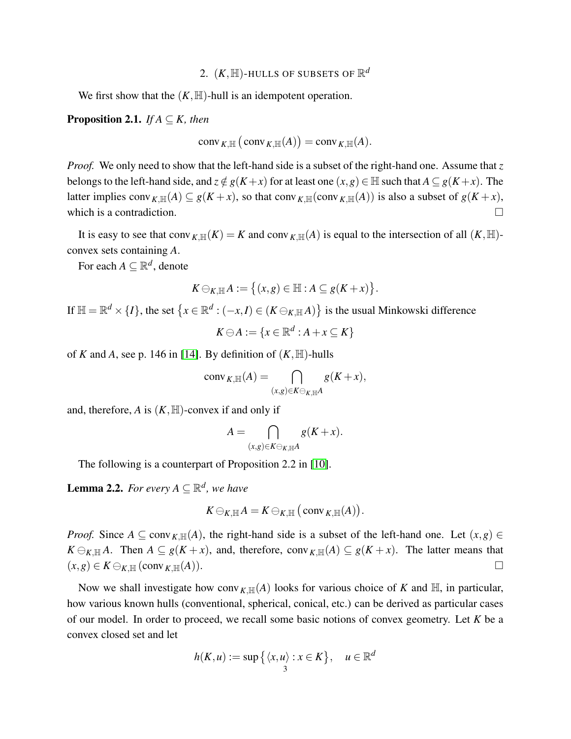# 2.  $(K, \mathbb{H})$ -HULLS OF SUBSETS OF  $\mathbb{R}^d$

<span id="page-2-0"></span>We first show that the  $(K, \mathbb{H})$ -hull is an idempotent operation.

**Proposition 2.1.** *If A*  $\subseteq$  *K, then* 

$$
conv_{K,\mathbb{H}}(\mathsf{conv}_{K,\mathbb{H}}(A)) = conv_{K,\mathbb{H}}(A).
$$

*Proof.* We only need to show that the left-hand side is a subset of the right-hand one. Assume that *z* belongs to the left-hand side, and  $z \notin g(K+x)$  for at least one  $(x,g) \in \mathbb{H}$  such that  $A \subseteq g(K+x)$ . The latter implies conv<sub>K,H(</sub> $(A) \subseteq g(K+x)$ , so that conv<sub>K,H(</sub>conv<sub>K,H(</sub> $(A)$ )) is also a subset of  $g(K+x)$ , which is a contradiction.  $\Box$ 

It is easy to see that conv<sub>K,H(</sub> $(K) = K$  and conv<sub>K,H(</sub> $(A)$ ) is equal to the intersection of all  $(K, H)$ convex sets containing *A*.

For each  $A \subseteq \mathbb{R}^d$ , denote

$$
K\ominus_{K,\mathbb{H}} A:=\big\{(x,g)\in\mathbb{H}:A\subseteq g(K+x)\big\}.
$$

If  $\mathbb{H} = \mathbb{R}^d \times \{I\}$ , the set  $\left\{x \in \mathbb{R}^d : (-x,I) \in (K \ominus_{K,\mathbb{H}} A)\right\}$  is the usual Minkowski difference

$$
K \ominus A := \{ x \in \mathbb{R}^d : A + x \subseteq K \}
$$

of *K* and *A*, see p. 146 in [\[14\]](#page-34-3). By definition of  $(K, \mathbb{H})$ -hulls

$$
conv_{K,\mathbb{H}}(A) = \bigcap_{(x,g)\in K\ominus_{K,\mathbb{H}^A}} g(K+x),
$$

and, therefore, A is  $(K, \mathbb{H})$ -convex if and only if

$$
A=\bigcap_{(x,g)\in K\ominus_{K,\mathbb{H}} A} g(K+x).
$$

The following is a counterpart of Proposition 2.2 in [\[10\]](#page-34-2).

<span id="page-2-1"></span>**Lemma 2.2.** For every  $A \subseteq \mathbb{R}^d$ , we have

$$
K\ominus_{K,{\mathbb{H}}} A=K\ominus_{K,{\mathbb{H}}}\big(\mathop{\mathrm{conv}}\nolimits_{K,{\mathbb{H}}}(A)\big).
$$

*Proof.* Since  $A \subseteq \text{conv}_{K,\mathbb{H}}(A)$ , the right-hand side is a subset of the left-hand one. Let  $(x,g) \in$ *K*  $\ominus_{K,\mathbb{H}} A$ . Then *A*  $\subseteq$  *g*(*K* + *x*), and, therefore, conv<sub>*K*</sub><sub>*H*</sub>(*A*)  $\subseteq$  *g*(*K* + *x*). The latter means that  $(x, g) \in K \ominus_{K,H} (conv_{K,H}(A)).$ 

Now we shall investigate how conv<sub>K, $\mathbb{H}(A)$ </sub> looks for various choice of K and  $\mathbb{H}$ , in particular, how various known hulls (conventional, spherical, conical, etc.) can be derived as particular cases of our model. In order to proceed, we recall some basic notions of convex geometry. Let *K* be a convex closed set and let

$$
h(K, u) := \sup \{ \langle x, u \rangle : x \in K \}, \quad u \in \mathbb{R}^d
$$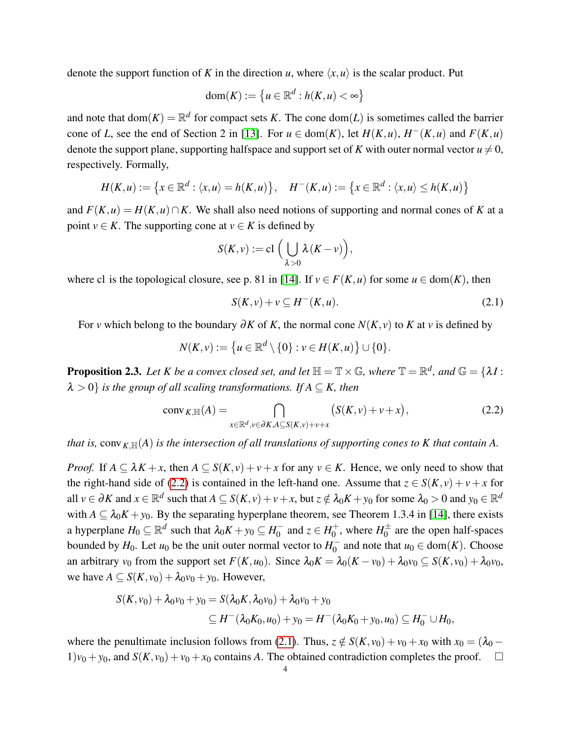denote the support function of K in the direction *u*, where  $\langle x, u \rangle$  is the scalar product. Put

$$
\mathrm{dom}(K):=\big\{u\in\mathbb{R}^d: h(K,u)<\infty\big\}
$$

and note that  $dom(K) = \mathbb{R}^d$  for compact sets *K*. The cone  $dom(L)$  is sometimes called the barrier cone of *L*, see the end of Section 2 in [\[13\]](#page-34-4). For  $u \in \text{dom}(K)$ , let  $H(K, u)$ ,  $H^{-}(K, u)$  and  $F(K, u)$ denote the support plane, supporting halfspace and support set of *K* with outer normal vector  $u \neq 0$ , respectively. Formally,

$$
H(K, u) := \left\{ x \in \mathbb{R}^d : \langle x, u \rangle = h(K, u) \right\}, \quad H^-(K, u) := \left\{ x \in \mathbb{R}^d : \langle x, u \rangle \le h(K, u) \right\}
$$

and  $F(K, u) = H(K, u) \cap K$ . We shall also need notions of supporting and normal cones of K at a point *v*  $\in$  *K*. The supporting cone at *v*  $\in$  *K* is defined by

$$
S(K,v) := \mathrm{cl}\,\Big(\bigcup_{\lambda>0}\lambda(K-v)\Big),
$$

where cl is the topological closure, see p. 81 in [\[14\]](#page-34-3). If  $v \in F(K, u)$  for some  $u \in \text{dom}(K)$ , then

<span id="page-3-1"></span>
$$
S(K, v) + v \subseteq H^-(K, u). \tag{2.1}
$$

For *v* which belong to the boundary ∂*K* of *K*, the normal cone *N*(*K*, *v*) to *K* at *v* is defined by

$$
N(K,v):=\big\{u\in\mathbb{R}^d\setminus\{0\}:v\in H(K,u)\big\}\cup\{0\}.
$$

**Proposition 2.3.** Let K be a convex closed set, and let  $\mathbb{H} = \mathbb{T} \times \mathbb{G}$ , where  $\mathbb{T} = \mathbb{R}^d$ , and  $\mathbb{G} = \{\lambda I :$  $\lambda > 0$ *} is the group of all scaling transformations. If*  $A \subseteq K$ *, then* 

<span id="page-3-0"></span>
$$
conv_{K,\mathbb{H}}(A) = \bigcap_{x \in \mathbb{R}^d, v \in \partial K, A \subseteq S(K,v) + v + x} \big(S(K,v) + v + x\big),\tag{2.2}
$$

*that is,* conv<sub>K, $\mathbb{H}(A)$  *is the intersection of all translations of supporting cones to K that contain A.*</sub>

*Proof.* If  $A \subseteq \lambda K + x$ , then  $A \subseteq S(K, v) + v + x$  for any  $v \in K$ . Hence, we only need to show that the right-hand side of [\(2.2\)](#page-3-0) is contained in the left-hand one. Assume that  $z \in S(K, v) + v + x$  for all  $v \in \partial K$  and  $x \in \mathbb{R}^d$  such that  $A \subseteq S(K, v) + v + x$ , but  $z \notin \lambda_0 K + y_0$  for some  $\lambda_0 > 0$  and  $y_0 \in \mathbb{R}^d$ with  $A \subseteq \lambda_0 K + y_0$ . By the separating hyperplane theorem, see Theorem 1.3.4 in [\[14\]](#page-34-3), there exists a hyperplane  $H_0 \subseteq \mathbb{R}^d$  such that  $\lambda_0 K + y_0 \subseteq H_0^{-1}$  $\frac{1}{0}$  and  $z \in H_0^+$  $y_0^{\pm}$ , where  $H_0^{\pm}$  $\overline{0}^{\pm}$  are the open half-spaces bounded by  $H_0$ . Let  $u_0$  be the unit outer normal vector to  $H_0^ \overline{0}$  and note that  $u_0 \in \text{dom}(K)$ . Choose an arbitrary  $v_0$  from the support set  $F(K, u_0)$ . Since  $\lambda_0 K = \lambda_0 (K - v_0) + \lambda_0 v_0 \subseteq S(K, v_0) + \lambda_0 v_0$ , we have  $A \subseteq S(K, v_0) + \lambda_0 v_0 + v_0$ . However,

$$
S(K, v_0) + \lambda_0 v_0 + y_0 = S(\lambda_0 K, \lambda_0 v_0) + \lambda_0 v_0 + y_0
$$
  
\n
$$
\subseteq H^-(\lambda_0 K_0, u_0) + y_0 = H^-(\lambda_0 K_0 + y_0, u_0) \subseteq H_0^- \cup H_0,
$$

where the penultimate inclusion follows from [\(2.1\)](#page-3-1). Thus,  $z \notin S(K, v_0) + v_0 + x_0$  with  $x_0 = (\lambda_0 1)v_0 + v_0$ , and  $S(K, v_0) + v_0 + x_0$  contains *A*. The obtained contradiction completes the proof.  $\square$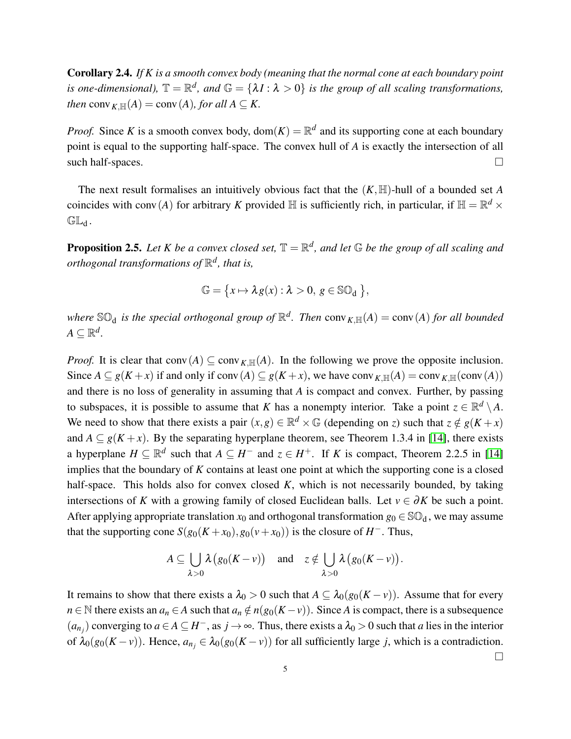Corollary 2.4. *If K is a smooth convex body (meaning that the normal cone at each boundary point is one-dimensional*),  $\mathbb{T} = \mathbb{R}^d$ , and  $\mathbb{G} = \{\lambda I : \lambda > 0\}$  is the group of all scaling transformations, *then* conv<sub>*K*</sub> $\mathbb{H}(A) = \text{conv}(A)$ *, for all*  $A \subseteq K$ .

*Proof.* Since *K* is a smooth convex body,  $dom(K) = \mathbb{R}^d$  and its supporting cone at each boundary point is equal to the supporting half-space. The convex hull of *A* is exactly the intersection of all such half-spaces.  $\Box$ 

The next result formalises an intuitively obvious fact that the  $(K, \mathbb{H})$ -hull of a bounded set *A* coincides with conv(*A*) for arbitrary *K* provided  $\mathbb H$  is sufficiently rich, in particular, if  $\mathbb H = \mathbb R^d \times$  $GL_d$ .

<span id="page-4-0"></span>**Proposition 2.5.** Let K be a convex closed set,  $\mathbb{T} = \mathbb{R}^d$ , and let  $\mathbb{G}$  be the group of all scaling and *orthogonal transformations of* R *d , that is,*

$$
\mathbb{G} = \{x \mapsto \lambda g(x) : \lambda > 0, g \in \mathbb{SO}_d \},
$$

where  $\mathbb{SO}_d$  is the special orthogonal group of  $\mathbb{R}^d$ . Then  $\text{conv}_{K,\mathbb{H}}(A) = \text{conv}(A)$  for all bounded  $A \subseteq \mathbb{R}^d$ .

*Proof.* It is clear that conv(*A*)  $\subseteq$  conv<sub>*K*,H(*A*). In the following we prove the opposite inclusion.</sub> Since  $A \subseteq g(K+x)$  if and only if conv $(A) \subseteq g(K+x)$ , we have conv<sub>K,H(</sub> $(A) = \text{conv}_{K,\mathbb{H}}(\text{conv}(A))$ ) and there is no loss of generality in assuming that *A* is compact and convex. Further, by passing to subspaces, it is possible to assume that *K* has a nonempty interior. Take a point  $z \in \mathbb{R}^d \setminus A$ . We need to show that there exists a pair  $(x, g) \in \mathbb{R}^d \times \mathbb{G}$  (depending on *z*) such that  $z \notin g(K + x)$ and  $A \subseteq g(K + x)$ . By the separating hyperplane theorem, see Theorem 1.3.4 in [\[14\]](#page-34-3), there exists a hyperplane  $H \subseteq \mathbb{R}^d$  such that  $A \subseteq H^-$  and  $z \in H^+$ . If *K* is compact, Theorem 2.2.5 in [\[14\]](#page-34-3) implies that the boundary of *K* contains at least one point at which the supporting cone is a closed half-space. This holds also for convex closed *K*, which is not necessarily bounded, by taking intersections of *K* with a growing family of closed Euclidean balls. Let  $v \in \partial K$  be such a point. After applying appropriate translation  $x_0$  and orthogonal transformation  $g_0 \in \mathbb{SO}_d$ , we may assume that the supporting cone  $S(g_0(K+x_0), g_0(v+x_0))$  is the closure of *H*<sup>-</sup>. Thus,

$$
A\subseteq \bigcup_{\lambda>0}\lambda(g_0(K-\nu))\quad\text{and}\quad z\notin \bigcup_{\lambda>0}\lambda(g_0(K-\nu)).
$$

It remains to show that there exists a  $\lambda_0 > 0$  such that  $A \subseteq \lambda_0(g_0(K - v))$ . Assume that for every *n* ∈ N there exists an *a<sub>n</sub>* ∈ *A* such that  $a_n \notin n(g_0(K - v))$ . Since *A* is compact, there is a subsequence  $(a_{n_j})$  converging to  $a \in A \subseteq H^-$ , as  $j \to \infty$ . Thus, there exists a  $\lambda_0 > 0$  such that *a* lies in the interior of  $\lambda_0(g_0(K - v))$ . Hence,  $a_{n_j} \in \lambda_0(g_0(K - v))$  for all sufficiently large *j*, which is a contradiction.

 $\Box$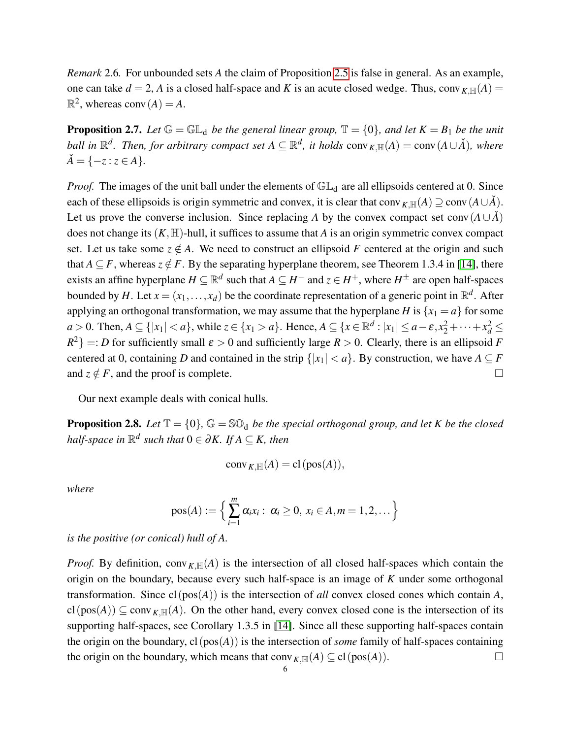*Remark* 2.6*.* For unbounded sets *A* the claim of Proposition [2.5](#page-4-0) is false in general. As an example, one can take  $d = 2$ , *A* is a closed half-space and *K* is an acute closed wedge. Thus, conv<sub>*K*,H(*A*) =</sub>  $\mathbb{R}^2$ , whereas conv $(A) = A$ .

**Proposition 2.7.** Let  $\mathbb{G} = \mathbb{GL}_d$  be the general linear group,  $\mathbb{T} = \{0\}$ , and let  $K = B_1$  be the unit *ball in*  $\mathbb{R}^d$ *. Then, for arbitrary compact set*  $A \subseteq \mathbb{R}^d$ *, it holds* conv $\kappa_{K,\mathbb{H}}(A) = \text{conv}(A \cup \check{A})$ *, where*  $\check{A} = \{-z : z \in A\}.$ 

*Proof.* The images of the unit ball under the elements of  $GL_d$  are all ellipsoids centered at 0. Since each of these ellipsoids is origin symmetric and convex, it is clear that conv<sub>K,H(</sub> $(A) \supseteq$  conv( $A \cup \check{A}$ ). Let us prove the converse inclusion. Since replacing *A* by the convex compact set conv $(A \cup \tilde{A})$ does not change its  $(K, \mathbb{H})$ -hull, it suffices to assume that *A* is an origin symmetric convex compact set. Let us take some  $z \notin A$ . We need to construct an ellipsoid F centered at the origin and such that  $A \subseteq F$ , whereas  $z \notin F$ . By the separating hyperplane theorem, see Theorem 1.3.4 in [\[14\]](#page-34-3), there exists an affine hyperplane  $H \subseteq \mathbb{R}^d$  such that  $A \subseteq H^-$  and  $z \in H^+$ , where  $H^\pm$  are open half-spaces bounded by H. Let  $x = (x_1, \ldots, x_d)$  be the coordinate representation of a generic point in  $\mathbb{R}^d$ . After applying an orthogonal transformation, we may assume that the hyperplane *H* is  $\{x_1 = a\}$  for some *a* > 0. Then, *A* ⊆ {| $x_1$ | < *a*}, while  $z \in \{x_1 > a\}$ . Hence, *A* ⊆ { $x \in \mathbb{R}^d$  :  $|x_1| \le a - \varepsilon, x_2^2 + \cdots + x_d^2$  ≤  $R^2$ } =: *D* for sufficiently small  $\varepsilon > 0$  and sufficiently large  $R > 0$ . Clearly, there is an ellipsoid *F* centered at 0, containing *D* and contained in the strip  $\{|x_1| < a\}$ . By construction, we have  $A \subseteq F$ and  $z \notin F$ , and the proof is complete.

Our next example deals with conical hulls.

<span id="page-5-0"></span>**Proposition 2.8.** Let  $\mathbb{T} = \{0\}$ ,  $\mathbb{G} = \mathbb{SO}_d$  be the special orthogonal group, and let K be the closed  $\emph{half-space in $\mathbb{R}^d$ such that $0\in\partial K$. If $A\subseteq K$, then}$ 

$$
conv_{K,\mathbb{H}}(A) = cl (pos(A)),
$$

*where*

pos(A) := 
$$
\left\{\sum_{i=1}^{m} \alpha_i x_i : \alpha_i \geq 0, x_i \in A, m = 1, 2, ...\right\}
$$

*is the positive (or conical) hull of A.*

*Proof.* By definition, conv<sub>K,H(</sub> $(A)$ ) is the intersection of all closed half-spaces which contain the origin on the boundary, because every such half-space is an image of *K* under some orthogonal transformation. Since cl(pos(*A*)) is the intersection of *all* convex closed cones which contain *A*,  $cl(pos(A)) \subseteq conv_{K,\mathbb{H}}(A)$ . On the other hand, every convex closed cone is the intersection of its supporting half-spaces, see Corollary 1.3.5 in [\[14\]](#page-34-3). Since all these supporting half-spaces contain the origin on the boundary,  $cl(pos(A))$  is the intersection of *some* family of half-spaces containing the origin on the boundary, which means that conv<sub>*K*,H(*A*)  $\subseteq$  cl(pos(*A*)).</sub>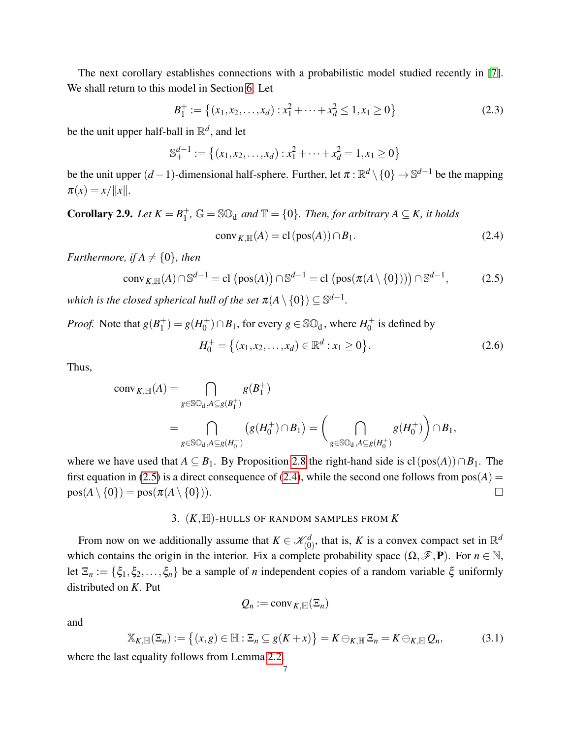The next corollary establishes connections with a probabilistic model studied recently in [\[7\]](#page-34-5). We shall return to this model in Section [6.](#page-18-0) Let

<span id="page-6-3"></span>
$$
B_1^+ := \left\{ (x_1, x_2, \dots, x_d) : x_1^2 + \dots + x_d^2 \le 1, x_1 \ge 0 \right\}
$$
 (2.3)

be the unit upper half-ball in R *d* , and let

$$
\mathbb{S}_{+}^{d-1} := \{ (x_1, x_2, \dots, x_d) : x_1^2 + \dots + x_d^2 = 1, x_1 \ge 0 \}
$$

be the unit upper  $(d-1)$ -dimensional half-sphere. Further, let  $\pi$  :  $\mathbb{R}^d\setminus\{0\}\to\mathbb{S}^{d-1}$  be the mapping  $\pi(x) = x/\|x\|.$ 

**Corollary 2.9.** *Let*  $K = B_1^+$  $j_1^+$ ,  $\mathbb{G} = \mathbb{SO}_d$  and  $\mathbb{T} = \{0\}$ . Then, for arbitrary  $A \subseteq K$ , it holds

<span id="page-6-2"></span>
$$
conv_{K,\mathbb{H}}(A) = cl(pos(A)) \cap B_1.
$$
 (2.4)

*Furthermore, if A*  $\neq$  {0}*, then* 

<span id="page-6-1"></span>
$$
conv_{K,\mathbb{H}}(A) \cap \mathbb{S}^{d-1} = \text{cl}(pos(A)) \cap \mathbb{S}^{d-1} = \text{cl}(pos(\pi(A \setminus \{0\}))) \cap \mathbb{S}^{d-1},
$$
 (2.5)

which is the closed spherical hull of the set  $\pi(A \setminus \{0\}) \subseteq \mathbb{S}^{d-1}.$ 

*Proof.* Note that  $g(B_1^+)$  $j<sub>1</sub><sup>+</sup>$ ) =  $g(H<sub>0</sub><sup>+</sup>)$  $\binom{+}{0} \cap B_1$ , for every  $g \in \mathbb{SO}_d$ , where  $H_0^+$  $_{0}^{+}$  is defined by  $H_0^+ = \{(x_1, x_2, \ldots, x_d) \in \mathbb{R}^d : x_1 \geq 0\}$  $(2.6)$ 

Thus,

$$
\begin{split} \operatorname{conv}_{K,\mathbb{H}}(A) &= \bigcap_{g \in \mathbb{SO}_d, A \subseteq g(B_1^+)} g(B_1^+) \\ &= \bigcap_{g \in \mathbb{SO}_d, A \subseteq g(H_0^+)} \left( g(H_0^+) \cap B_1 \right) = \bigg( \bigcap_{g \in \mathbb{SO}_d, A \subseteq g(H_0^+)} g(H_0^+) \bigg) \cap B_1, \end{split}
$$

where we have used that  $A \subseteq B_1$ . By Proposition [2.8](#page-5-0) the right-hand side is  $cl(pos(A)) \cap B_1$ . The first equation in [\(2.5\)](#page-6-1) is a direct consequence of [\(2.4\)](#page-6-2), while the second one follows from  $pos(A) =$  $pos(A \setminus \{0\}) = pos(\pi(A \setminus \{0\})).$ 

## 3. (*K*,H)-HULLS OF RANDOM SAMPLES FROM *K*

<span id="page-6-0"></span>From now on we additionally assume that  $K \in \mathcal{K}_{(0)}^d$ , that is, *K* is a convex compact set in  $\mathbb{R}^d$ which contains the origin in the interior. Fix a complete probability space  $(\Omega, \mathscr{F}, P)$ . For  $n \in \mathbb{N}$ , let  $\Xi_n := \{\xi_1, \xi_2, \ldots, \xi_n\}$  be a sample of *n* independent copies of a random variable  $\xi$  uniformly distributed on *K*. Put

$$
Q_n := \operatorname{conv}_{K,\mathbb{H}}(\Xi_n)
$$

and

<span id="page-6-4"></span>
$$
\mathbb{X}_{K,\mathbb{H}}(\Xi_n) := \left\{ (x,g) \in \mathbb{H} : \Xi_n \subseteq g(K+x) \right\} = K \ominus_{K,\mathbb{H}} \Xi_n = K \ominus_{K,\mathbb{H}} Q_n, \tag{3.1}
$$

where the last equality follows from Lemma [2.2.](#page-2-1)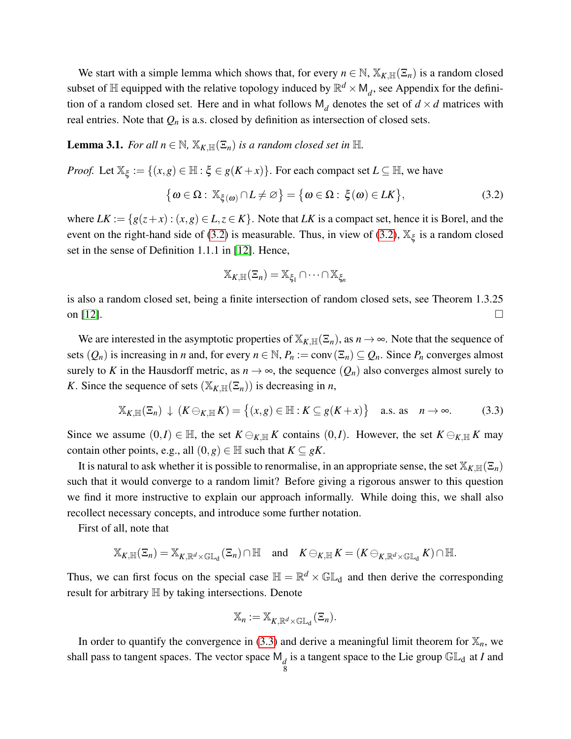We start with a simple lemma which shows that, for every  $n \in \mathbb{N}$ ,  $\mathbb{X}_{K,\mathbb{H}}(\Xi_n)$  is a random closed subset of  $\mathbb H$  equipped with the relative topology induced by  $\mathbb R^d \times M_d$ , see Appendix for the definition of a random closed set. Here and in what follows  $M_d$  denotes the set of  $d \times d$  matrices with real entries. Note that  $Q_n$  is a.s. closed by definition as intersection of closed sets.

<span id="page-7-2"></span>**Lemma 3.1.** *For all*  $n \in \mathbb{N}$ ,  $\mathbb{X}_{K,\mathbb{H}}(\Xi_n)$  *is a random closed set in*  $\mathbb{H}$ *.* 

*Proof.* Let  $\mathbb{X}_{\xi} := \{(x, g) \in \mathbb{H} : \xi \in g(K+x)\}\$ . For each compact set  $L \subseteq \mathbb{H}$ , we have

<span id="page-7-0"></span>
$$
\{\omega \in \Omega : \mathbb{X}_{\xi(\omega)} \cap L \neq \varnothing\} = \{\omega \in \Omega : \xi(\omega) \in L\mathbb{K}\},\tag{3.2}
$$

where  $LK := \{ g(z+x) : (x,g) \in L, z \in K \}$ . Note that *LK* is a compact set, hence it is Borel, and the event on the right-hand side of [\(3.2\)](#page-7-0) is measurable. Thus, in view of (3.2),  $\mathbb{X}_{\xi}$  is a random closed set in the sense of Definition 1.1.1 in [\[12\]](#page-34-6). Hence,

$$
\mathbb{X}_{K,\mathbb{H}}(\Xi_n)=\mathbb{X}_{\xi_1}\cap\cdots\cap\mathbb{X}_{\xi_n}
$$

is also a random closed set, being a finite intersection of random closed sets, see Theorem 1.3.25 on [\[12\]](#page-34-6).

We are interested in the asymptotic properties of  $\mathbb{X}_{K,\mathbb{H}}(\Xi_n)$ , as  $n \to \infty$ . Note that the sequence of sets  $(Q_n)$  is increasing in *n* and, for every  $n \in \mathbb{N}$ ,  $P_n := \text{conv}(\Xi_n) \subseteq Q_n$ . Since  $P_n$  converges almost surely to K in the Hausdorff metric, as  $n \to \infty$ , the sequence  $(Q_n)$  also converges almost surely to *K*. Since the sequence of sets  $(\mathbb{X}_{K,\mathbb{H}}(\Xi_n))$  is decreasing in *n*,

<span id="page-7-1"></span>
$$
\mathbb{X}_{K,\mathbb{H}}(\Xi_n) \downarrow (K \ominus_{K,\mathbb{H}} K) = \left\{ (x,g) \in \mathbb{H} : K \subseteq g(K+x) \right\} \quad \text{a.s. as} \quad n \to \infty. \tag{3.3}
$$

Since we assume  $(0, I) \in \mathbb{H}$ , the set  $K \ominus_{K, \mathbb{H}} K$  contains  $(0, I)$ . However, the set  $K \ominus_{K, \mathbb{H}} K$  may contain other points, e.g., all  $(0, g) \in \mathbb{H}$  such that  $K \subseteq gK$ .

It is natural to ask whether it is possible to renormalise, in an appropriate sense, the set  $\mathbb{X}_{K,\mathbb{H}}(\Xi_n)$ such that it would converge to a random limit? Before giving a rigorous answer to this question we find it more instructive to explain our approach informally. While doing this, we shall also recollect necessary concepts, and introduce some further notation.

First of all, note that

$$
\mathbb{X}_{K,\mathbb{H}}(\Xi_n)=\mathbb{X}_{K,\mathbb{R}^d\times\mathbb{GL}_d}(\Xi_n)\cap\mathbb{H}\quad\text{and}\quad K\ominus_{K,\mathbb{H}}K=(K\ominus_{K,\mathbb{R}^d\times\mathbb{GL}_d}K)\cap\mathbb{H}.
$$

Thus, we can first focus on the special case  $\mathbb{H} = \mathbb{R}^d \times \mathbb{GL}_d$  and then derive the corresponding result for arbitrary H by taking intersections. Denote

$$
\mathbb{X}_n := \mathbb{X}_{K,\mathbb{R}^d \times \mathbb{GL}_d}(\Xi_n).
$$

In order to quantify the convergence in [\(3.3\)](#page-7-1) and derive a meaningful limit theorem for  $\mathbb{X}_n$ , we shall pass to tangent spaces. The vector space  $\mathsf{M}_d$  is a tangent space to the Lie group  $\mathbb{GL}_d$  at *I* and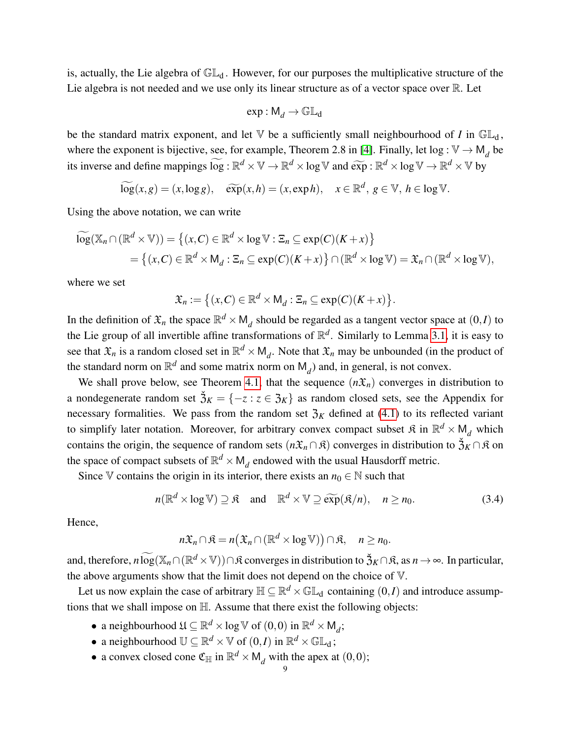is, actually, the Lie algebra of  $\mathbb{GL}_d$ . However, for our purposes the multiplicative structure of the Lie algebra is not needed and we use only its linear structure as of a vector space over R. Let

$$
\exp : \mathsf{M}_d \to \mathbb{GL}_d
$$

be the standard matrix exponent, and let  $\nabla$  be a sufficiently small neighbourhood of *I* in  $\mathbb{GL}_d$ , where the exponent is bijective, see, for example, Theorem 2.8 in [\[4\]](#page-34-7). Finally, let  $\log : \mathbb{V} \to \mathsf{M}_d$  be its inverse and define mappings  $\widetilde{\log} : \mathbb{R}^d \times \mathbb{V} \to \mathbb{R}^d \times \log \mathbb{V}$  and  $\widetilde{\exp} : \mathbb{R}^d \times \log \mathbb{V} \to \mathbb{R}^d \times \mathbb{V}$  by

$$
\widetilde{\log}(x,g)=(x,\log g), \quad \widetilde{\exp}(x,h)=(x,\exp h), \quad x\in\mathbb{R}^d, \ g\in\mathbb{V}, \ h\in\log\mathbb{V}.
$$

Using the above notation, we can write

$$
\widetilde{\log}(\mathbb{X}_n \cap (\mathbb{R}^d \times \mathbb{V})) = \left\{ (x, C) \in \mathbb{R}^d \times \log \mathbb{V} : \Xi_n \subseteq \exp(C)(K + x) \right\} \n= \left\{ (x, C) \in \mathbb{R}^d \times M_d : \Xi_n \subseteq \exp(C)(K + x) \right\} \cap (\mathbb{R}^d \times \log \mathbb{V}) = \mathfrak{X}_n \cap (\mathbb{R}^d \times \log \mathbb{V}),
$$

where we set

$$
\mathfrak{X}_n := \big\{ (x, C) \in \mathbb{R}^d \times \mathsf{M}_d : \Xi_n \subseteq \exp(C)(K+x) \big\}.
$$

In the definition of  $\mathfrak{X}_n$  the space  $\mathbb{R}^d \times M_d$  should be regarded as a tangent vector space at  $(0, I)$  to the Lie group of all invertible affine transformations of R *d* . Similarly to Lemma [3.1,](#page-7-2) it is easy to see that  $\mathfrak{X}_n$  is a random closed set in  $\mathbb{R}^d \times M_d$ . Note that  $\mathfrak{X}_n$  may be unbounded (in the product of the standard norm on  $\mathbb{R}^d$  and some matrix norm on  $M_d$ ) and, in general, is not convex.

We shall prove below, see Theorem [4.1,](#page-10-1) that the sequence  $(n\mathfrak{X}_n)$  converges in distribution to a nondegenerate random set  $\check{3}_K = \{-z : z \in \mathfrak{Z}_K\}$  as random closed sets, see the Appendix for necessary formalities. We pass from the random set  $\mathfrak{Z}_K$  defined at [\(4.1\)](#page-10-2) to its reflected variant to simplify later notation. Moreover, for arbitrary convex compact subset  $\mathfrak{K}$  in  $\mathbb{R}^d \times M_d$  which contains the origin, the sequence of random sets  $(n\mathfrak{X}_n \cap \mathfrak{K})$  converges in distribution to  $\check{\mathfrak{Z}}_K \cap \mathfrak{K}$  on the space of compact subsets of  $\mathbb{R}^d \times M_d$  endowed with the usual Hausdorff metric.

Since V contains the origin in its interior, there exists an  $n_0 \in \mathbb{N}$  such that

$$
n(\mathbb{R}^d \times \log \mathbb{V}) \supseteq \mathfrak{K} \quad \text{and} \quad \mathbb{R}^d \times \mathbb{V} \supseteq \widetilde{\exp}(\mathfrak{K}/n), \quad n \ge n_0. \tag{3.4}
$$

Hence,

 $n\mathfrak{X}_n \cap \mathfrak{K} = n(\mathfrak{X}_n \cap (\mathbb{R}^d \times \log \mathbb{V})) \cap \mathfrak{K}, \quad n \ge n_0.$ 

and, therefore,  $n \widetilde{\log}(\mathbb{X}_n \cap (\mathbb{R}^d \times \mathbb{V})) \cap \mathfrak{K}$  converges in distribution to  $\mathfrak{Z}_K \cap \mathfrak{K}$ , as  $n \to \infty$ . In particular, the above arguments show that the limit does not depend on the choice of V.

Let us now explain the case of arbitrary  $\mathbb{H} \subseteq \mathbb{R}^d \times \mathbb{GL}_d$  containing  $(0,I)$  and introduce assumptions that we shall impose on H. Assume that there exist the following objects:

- a neighbourhood  $\mathfrak{U} \subseteq \mathbb{R}^d \times \log \mathbb{V}$  of  $(0,0)$  in  $\mathbb{R}^d \times \mathsf{M}_d$ ;
- a neighbourhood  $\mathbb{U} \subseteq \mathbb{R}^d \times \mathbb{V}$  of  $(0,I)$  in  $\mathbb{R}^d \times \mathbb{GL}_d$ ;
- a convex closed cone  $\mathfrak{C}_{\mathbb{H}}$  in  $\mathbb{R}^d \times M_d$  with the apex at  $(0,0)$ ;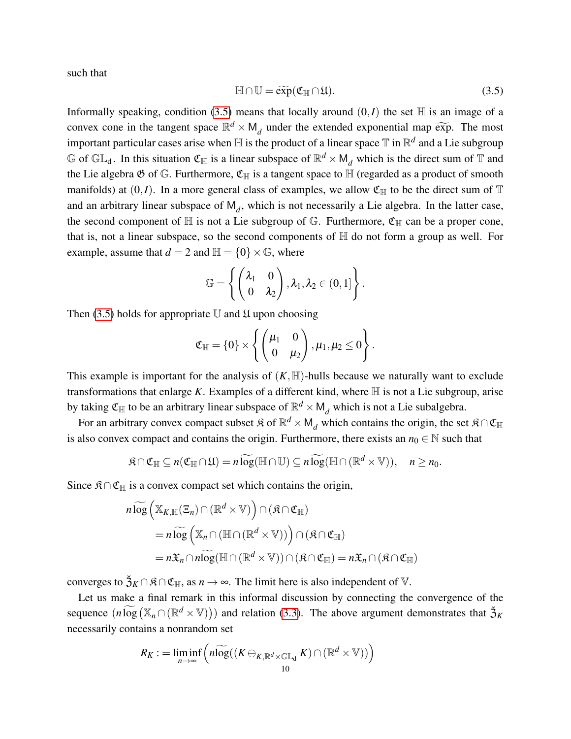such that

<span id="page-9-0"></span>
$$
\mathbb{H} \cap \mathbb{U} = \widetilde{\exp}(\mathfrak{C}_{\mathbb{H}} \cap \mathfrak{U}).
$$
\n(3.5)

Informally speaking, condition [\(3.5\)](#page-9-0) means that locally around  $(0, I)$  the set  $\mathbb H$  is an image of a convex cone in the tangent space  $\mathbb{R}^d \times M_d$  under the extended exponential map exp. The most important particular cases arise when  $\mathbb H$  is the product of a linear space  $\mathbb T$  in  $\mathbb R^d$  and a Lie subgroup G of  $GL_d$ . In this situation  $\mathfrak{C}_{\mathbb{H}}$  is a linear subspace of  $\mathbb{R}^d \times M_d$  which is the direct sum of T and the Lie algebra  $\mathfrak G$  of  $\mathbb G$ . Furthermore,  $\mathfrak C_{\mathbb H}$  is a tangent space to  $\mathbb H$  (regarded as a product of smooth manifolds) at  $(0, I)$ . In a more general class of examples, we allow  $\mathfrak{C}_{\mathbb{H}}$  to be the direct sum of  $\mathbb T$ and an arbitrary linear subspace of  $M_d$ , which is not necessarily a Lie algebra. In the latter case, the second component of  $\mathbb H$  is not a Lie subgroup of  $\mathbb G$ . Furthermore,  $\mathfrak{C}_{\mathbb H}$  can be a proper cone, that is, not a linear subspace, so the second components of  $\mathbb H$  do not form a group as well. For example, assume that  $d = 2$  and  $\mathbb{H} = \{0\} \times \mathbb{G}$ , where

$$
\mathbb{G} = \left\{ \begin{pmatrix} \lambda_1 & 0 \\ 0 & \lambda_2 \end{pmatrix}, \lambda_1, \lambda_2 \in (0,1] \right\}.
$$

Then [\(3.5\)](#page-9-0) holds for appropriate  $U$  and  $\mathfrak U$  upon choosing

$$
\mathfrak{C}_{\mathbb{H}} = \{0\} \times \left\{ \begin{pmatrix} \mu_1 & 0 \\ 0 & \mu_2 \end{pmatrix}, \mu_1, \mu_2 \le 0 \right\}.
$$

This example is important for the analysis of  $(K, \mathbb{H})$ -hulls because we naturally want to exclude transformations that enlarge  $K$ . Examples of a different kind, where  $H$  is not a Lie subgroup, arise by taking  $\mathfrak{C}_{\mathbb{H}}$  to be an arbitrary linear subspace of  $\mathbb{R}^d \times \mathsf{M}_d$  which is not a Lie subalgebra.

For an arbitrary convex compact subset  $\mathfrak{K}$  of  $\mathbb{R}^d \times M_d$  which contains the origin, the set  $\mathfrak{K} \cap \mathfrak{C}_{\mathbb{H}}$ is also convex compact and contains the origin. Furthermore, there exists an  $n_0 \in \mathbb{N}$  such that

$$
\mathfrak{K}\cap\mathfrak{C}_{\mathbb{H}}\subseteq n(\mathfrak{C}_{\mathbb{H}}\cap\mathfrak{U})=n\widetilde{\log}(\mathbb{H}\cap\mathbb{U})\subseteq n\widetilde{\log}(\mathbb{H}\cap(\mathbb{R}^d\times\mathbb{V})),\quad n\geq n_0.
$$

Since  $\mathfrak{K} \cap \mathfrak{C}_{\mathbb{H}}$  is a convex compact set which contains the origin,

$$
n \widetilde{\log} \left( \mathbb{X}_{K,\mathbb{H}}(\Xi_n) \cap (\mathbb{R}^d \times \mathbb{V}) \right) \cap (\mathfrak{K} \cap \mathfrak{C}_{\mathbb{H}})
$$
  
=  $n \widetilde{\log} \left( \mathbb{X}_n \cap (\mathbb{H} \cap (\mathbb{R}^d \times \mathbb{V})) \right) \cap (\mathfrak{K} \cap \mathfrak{C}_{\mathbb{H}})$   
=  $n \mathfrak{X}_n \cap n \widetilde{\log} (\mathbb{H} \cap (\mathbb{R}^d \times \mathbb{V})) \cap (\mathfrak{K} \cap \mathfrak{C}_{\mathbb{H}}) = n \mathfrak{X}_n \cap (\mathfrak{K} \cap \mathfrak{C}_{\mathbb{H}})$ 

converges to  $\check{\mathfrak{Z}}_K \cap \mathfrak{K} \cap \mathfrak{C}_{\mathbb{H}}$ , as  $n \to \infty$ . The limit here is also independent of V.

Let us make a final remark in this informal discussion by connecting the convergence of the sequence  $(n\widetilde{\log}(X_n \cap (\mathbb{R}^d \times V)))$  and relation [\(3.3\)](#page-7-1). The above argument demonstrates that  $\tilde{\mathfrak{Z}}_K$ necessarily contains a nonrandom set

$$
R_K := \liminf_{n \to \infty} \left( n \widetilde{\log}((K \ominus_{K,\mathbb{R}^d \times \mathbb{GL}_d} K) \cap (\mathbb{R}^d \times \mathbb{V})) \right)
$$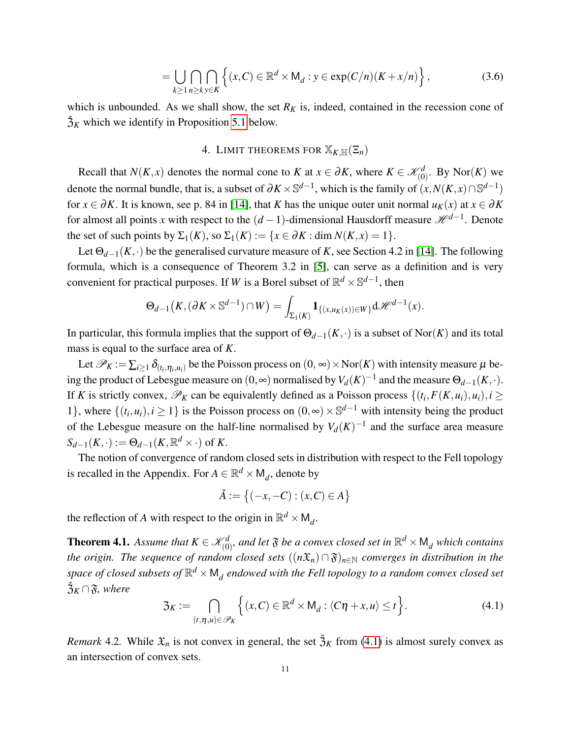$$
= \bigcup_{k\geq 1} \bigcap_{n\geq k} \bigcap_{y\in K} \left\{ (x,C) \in \mathbb{R}^d \times M_d : y \in \exp(C/n)(K+x/n) \right\},\tag{3.6}
$$

which is unbounded. As we shall show, the set  $R_K$  is, indeed, contained in the recession cone of  $\tilde{\mathfrak{Z}}_K$  which we identify in Proposition [5.1](#page-16-0) below.

# <span id="page-10-3"></span>4. LIMIT THEOREMS FOR  $\mathbb{X}_{K,\mathbb{H}}(\Xi_n)$

<span id="page-10-0"></span>Recall that *N*(*K*, *x*) denotes the normal cone to *K* at  $x \in \partial K$ , where  $K \in \mathcal{K}_{(0)}^d$ . By Nor(*K*) we denote the normal bundle, that is, a subset of  $\partial K \times \mathbb{S}^{d-1}$ , which is the family of  $(x, N(K, x) \cap \mathbb{S}^{d-1})$ for  $x \in \partial K$ . It is known, see p. 84 in [\[14\]](#page-34-3), that *K* has the unique outer unit normal  $u_K(x)$  at  $x \in \partial K$ for almost all points *x* with respect to the  $(d-1)$ -dimensional Hausdorff measure  $\mathcal{H}^{d-1}$ . Denote the set of such points by  $\Sigma_1(K)$ , so  $\Sigma_1(K) := \{x \in \partial K : \dim N(K, x) = 1\}.$ 

Let  $\Theta_{d-1}(K,\cdot)$  be the generalised curvature measure of *K*, see Section 4.2 in [\[14\]](#page-34-3). The following formula, which is a consequence of Theorem 3.2 in [\[5\]](#page-34-8), can serve as a definition and is very convenient for practical purposes. If *W* is a Borel subset of  $\mathbb{R}^d \times \mathbb{S}^{d-1}$ , then

$$
\Theta_{d-1}\big(K, (\partial K \times \mathbb{S}^{d-1}) \cap W\big) = \int_{\Sigma_1(K)} \mathbf{1}_{\{(x,u_K(x)) \in W\}} d\mathcal{H}^{d-1}(x).
$$

In particular, this formula implies that the support of  $\Theta_{d-1}(K, \cdot)$  is a subset of Nor(*K*) and its total mass is equal to the surface area of *K*.

Let  $\mathscr{P}_K := \sum_{i\geq 1} \delta_{(t_i,\eta_i,u_i)}$  be the Poisson process on  $(0,\infty)\times \text{Nor}(K)$  with intensity measure  $\mu$  being the product of Lebesgue measure on  $(0, \infty)$  normalised by  $V_d(K)^{-1}$  and the measure  $\Theta_{d-1}(K, \cdot)$ . If *K* is strictly convex,  $\mathscr{P}_K$  can be equivalently defined as a Poisson process  $\{(t_i, F(K, u_i), u_i), i \geq 1\}$ 1}, where  $\{(t_i, u_i), i \ge 1\}$  is the Poisson process on  $(0, \infty) \times \mathbb{S}^{d-1}$  with intensity being the product of the Lebesgue measure on the half-line normalised by  $V_d(K)^{-1}$  and the surface area measure  $S_{d-1}(K, \cdot) := \Theta_{d-1}(K, \mathbb{R}^d \times \cdot)$  of *K*.

The notion of convergence of random closed sets in distribution with respect to the Fell topology is recalled in the Appendix. For  $A \in \mathbb{R}^d \times M_d$ , denote by

$$
\check{A}:=\big\{(-x,-C):(x,C)\in A\big\}
$$

the reflection of *A* with respect to the origin in  $\mathbb{R}^d \times M_d$ .

<span id="page-10-1"></span>**Theorem 4.1.** Assume that  $K \in \mathcal{K}_{(0)}^d$ , and let  $\mathfrak{F}$  be a convex closed set in  $\mathbb{R}^d \times \mathsf{M}_d$  which contains *the origin. The sequence of random closed sets*  $((n\mathfrak{X}_n) \cap \mathfrak{F})_{n \in \mathbb{N}}$  *converges in distribution in the* space of closed subsets of  $\mathbb{R}^d \times \mathsf{M}_d$  endowed with the Fell topology to a random convex closed set  $\check{B}_K \cap \mathfrak{F}$ *, where* 

<span id="page-10-2"></span>
$$
\mathfrak{Z}_K := \bigcap_{(t,\eta,u)\in\mathscr{P}_K} \Big\{ (x,C) \in \mathbb{R}^d \times \mathsf{M}_d : \langle C\eta + x, u \rangle \le t \Big\}.
$$
 (4.1)

*Remark* 4.2. While  $\mathfrak{X}_n$  is not convex in general, the set  $\mathfrak{Z}_K$  from [\(4.1\)](#page-10-2) is almost surely convex as an intersection of convex sets.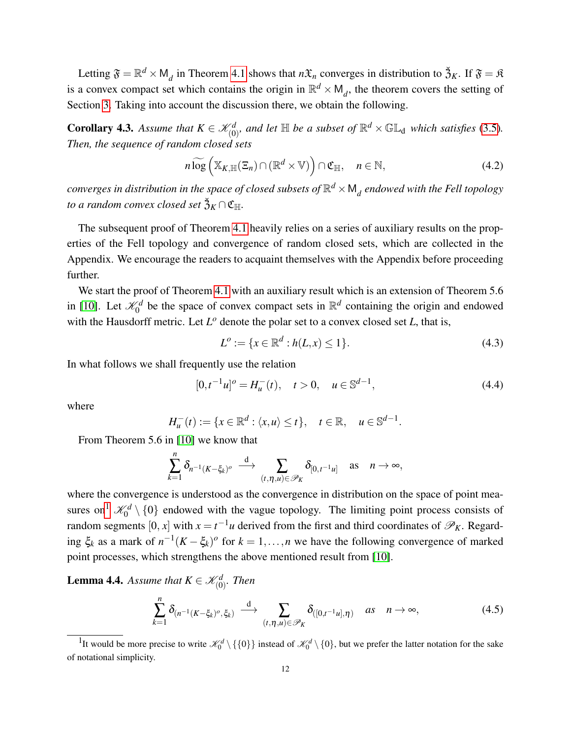Letting  $\mathfrak{F} = \mathbb{R}^d \times M_d$  in Theorem [4.1](#page-10-1) shows that  $n\mathfrak{X}_n$  converges in distribution to  $\mathfrak{Z}_K$ . If  $\mathfrak{F} = \mathfrak{K}$ is a convex compact set which contains the origin in  $\mathbb{R}^d \times M_d$ , the theorem covers the setting of Section [3.](#page-6-0) Taking into account the discussion there, we obtain the following.

**Corollary 4.3.** Assume that  $K \in \mathcal{K}_{(0)}^d$ , and let  $\mathbb{H}$  be a subset of  $\mathbb{R}^d \times \mathbb{GL}_d$  which satisfies [\(3.5\)](#page-9-0). *Then, the sequence of random closed sets*

$$
n \widetilde{\log} \left( \mathbb{X}_{K,\mathbb{H}}(\Xi_n) \cap (\mathbb{R}^d \times \mathbb{V}) \right) \cap \mathfrak{C}_{\mathbb{H}}, \quad n \in \mathbb{N}, \tag{4.2}
$$

 $converges$  in distribution in the space of closed subsets of  $\mathbb{R}^d \times \mathsf{M}_d$  endowed with the Fell topology  $t$ o a random convex closed set  $\check{\mathfrak{Z}}_K \cap \mathfrak{C}_{\mathbb{H}}.$ 

The subsequent proof of Theorem [4.1](#page-10-1) heavily relies on a series of auxiliary results on the properties of the Fell topology and convergence of random closed sets, which are collected in the Appendix. We encourage the readers to acquaint themselves with the Appendix before proceeding further.

We start the proof of Theorem [4.1](#page-10-1) with an auxiliary result which is an extension of Theorem 5.6 in [\[10\]](#page-34-2). Let  $\mathcal{K}_0^d$  be the space of convex compact sets in  $\mathbb{R}^d$  containing the origin and endowed with the Hausdorff metric. Let  $L^{\circ}$  denote the polar set to a convex closed set  $L$ , that is,

<span id="page-11-4"></span>
$$
L^o := \{ x \in \mathbb{R}^d : h(L, x) \le 1 \}.
$$
\n(4.3)

In what follows we shall frequently use the relation

<span id="page-11-3"></span>
$$
[0, t^{-1}u]^o = H_u^-(t), \quad t > 0, \quad u \in \mathbb{S}^{d-1}, \tag{4.4}
$$

where

$$
H_u^-(t) := \{ x \in \mathbb{R}^d : \langle x, u \rangle \le t \}, \quad t \in \mathbb{R}, \quad u \in \mathbb{S}^{d-1}.
$$

From Theorem 5.6 in [\[10\]](#page-34-2) we know that

$$
\sum_{k=1}^n \delta_{n^{-1}(K-\xi_k)^o} \stackrel{\rm d}{\longrightarrow} \sum_{(t,\eta,u)\in\mathscr{P}_K} \delta_{[0,t^{-1}u]} \quad \text{as} \quad n\to\infty,
$$

where the convergence is understood as the convergence in distribution on the space of point mea-sures on<sup>[1](#page-11-0)</sup>  $\mathcal{K}_0^d \setminus \{0\}$  endowed with the vague topology. The limiting point process consists of random segments  $[0, x]$  with  $x = t^{-1}u$  derived from the first and third coordinates of  $\mathscr{P}_K$ . Regarding  $\xi_k$  as a mark of  $n^{-1}(K - \xi_k)$ <sup>o</sup> for  $k = 1, ..., n$  we have the following convergence of marked point processes, which strengthens the above mentioned result from [\[10\]](#page-34-2).

<span id="page-11-2"></span>**Lemma 4.4.** Assume that  $K \in \mathcal{K}_{(0)}^d$ . Then

<span id="page-11-1"></span>
$$
\sum_{k=1}^{n} \delta_{(n^{-1}(K-\xi_k)^o,\xi_k)} \xrightarrow{d} \sum_{(t,\eta,u)\in\mathscr{P}_K} \delta_{([0,t^{-1}u],\eta)} \quad \text{as} \quad n \to \infty,
$$
\n(4.5)

<span id="page-11-0"></span><sup>&</sup>lt;sup>1</sup>It would be more precise to write  $\mathcal{K}_0^d \setminus \{\{0\}\}\$  instead of  $\mathcal{K}_0^d \setminus \{0\}$ , but we prefer the latter notation for the sake of notational simplicity.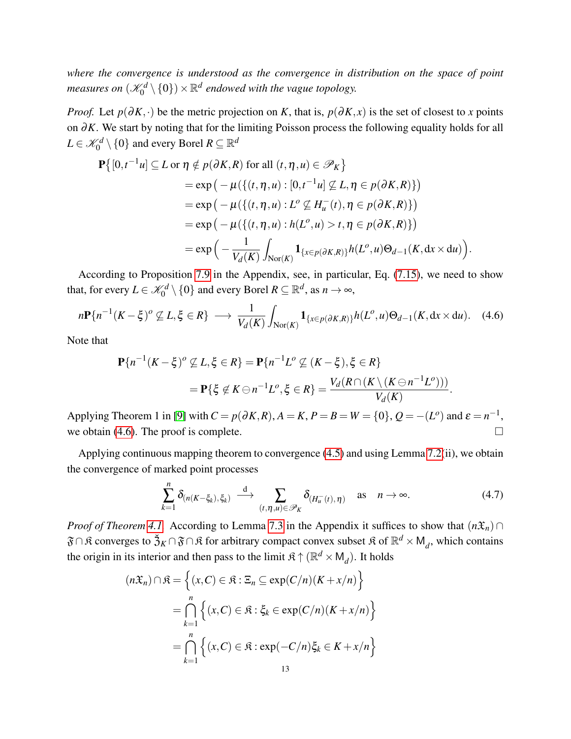*where the convergence is understood as the convergence in distribution on the space of point* measures on  $(\mathscr{K}_0^d\setminus\{0\})\times\mathbb{R}^d$  endowed with the vague topology.

*Proof.* Let  $p(\partial K, \cdot)$  be the metric projection on *K*, that is,  $p(\partial K, x)$  is the set of closest to *x* points on ∂*K*. We start by noting that for the limiting Poisson process the following equality holds for all  $L \in \mathscr{K}_0^d \setminus \{0\}$  and every Borel  $R \subseteq \mathbb{R}^d$ 

$$
\mathbf{P}\big\{ [0,t^{-1}u] \subseteq L \text{ or } \eta \notin p(\partial K, R) \text{ for all } (t, \eta, u) \in \mathscr{P}_K \big\}
$$
  
=  $\exp\big(-\mu(\{(t, \eta, u) : [0, t^{-1}u] \nsubseteq L, \eta \in p(\partial K, R)\})\big)$   
=  $\exp\big(-\mu(\{(t, \eta, u) : L^o \nsubseteq H_u^-(t), \eta \in p(\partial K, R)\})\big)$   
=  $\exp\big(-\mu(\{(t, \eta, u) : h(L^o, u) > t, \eta \in p(\partial K, R)\})\big)$   
=  $\exp\big(-\frac{1}{V_d(K)} \int_{\text{Nor}(K)} \mathbf{1}_{\{x \in p(\partial K, R)\}} h(L^o, u) \Theta_{d-1}(K, dx \times du)\big).$ 

According to Proposition [7.9](#page-32-0) in the Appendix, see, in particular, Eq. [\(7.15\)](#page-32-1), we need to show that, for every  $L \in \mathcal{K}_0^d \setminus \{0\}$  and every Borel  $R \subseteq \mathbb{R}^d$ , as  $n \to \infty$ ,

<span id="page-12-0"></span>
$$
n\mathbf{P}\{n^{-1}(K-\xi)^{o}\nsubseteq L,\xi\in R\} \longrightarrow \frac{1}{V_d(K)}\int_{\mathrm{Nor}(K)}\mathbf{1}_{\{x\in p(\partial K,R)\}}h(L^o,u)\Theta_{d-1}(K,\mathrm{d}x\times\mathrm{d}u). \tag{4.6}
$$

Note that

$$
\mathbf{P}\{n^{-1}(K-\xi)^{o} \not\subseteq L, \xi \in R\} = \mathbf{P}\{n^{-1}L^{o} \not\subseteq (K-\xi), \xi \in R\}
$$
  
= 
$$
\mathbf{P}\{\xi \notin K \ominus n^{-1}L^{o}, \xi \in R\} = \frac{V_d(R \cap (K \setminus (K \ominus n^{-1}L^{o})))}{V_d(K)}.
$$

Applying Theorem 1 in [\[9\]](#page-34-9) with  $C = p(\partial K, R)$ ,  $A = K$ ,  $P = B = W = \{0\}$ ,  $Q = -(L^o)$  and  $\varepsilon = n^{-1}$ , we obtain [\(4.6\)](#page-12-0). The proof is complete.  $\Box$ 

Applying continuous mapping theorem to convergence [\(4.5\)](#page-11-1) and using Lemma [7.2\(](#page-25-0)ii), we obtain the convergence of marked point processes

$$
\sum_{k=1}^{n} \delta_{(n(K-\xi_k),\xi_k)} \stackrel{d}{\longrightarrow} \sum_{(t,\eta,u)\in\mathscr{P}_K} \delta_{(H_u^-(t),\eta)} \quad \text{as} \quad n\to\infty. \tag{4.7}
$$

*Proof of Theorem [4.1.](#page-10-1)* According to Lemma [7.3](#page-27-0) in the Appendix it suffices to show that  $(n\mathfrak{X}_n)$  ∩  $\mathfrak{F}\cap\mathfrak{K}$  converges to  $\mathfrak{Z}_K\cap\mathfrak{F}\cap\mathfrak{K}$  for arbitrary compact convex subset  $\mathfrak{K}$  of  $\mathbb{R}^d\times\mathsf{M}_d$ , which contains the origin in its interior and then pass to the limit  $\mathfrak{K} \uparrow (\mathbb{R}^d \times M_d)$ . It holds

$$
(n\mathfrak{X}_n) \cap \mathfrak{K} = \left\{ (x, C) \in \mathfrak{K} : \Xi_n \subseteq \exp(C/n)(K + x/n) \right\}
$$

$$
= \bigcap_{k=1}^n \left\{ (x, C) \in \mathfrak{K} : \xi_k \in \exp(C/n)(K + x/n) \right\}
$$

$$
= \bigcap_{k=1}^n \left\{ (x, C) \in \mathfrak{K} : \exp(-C/n)\xi_k \in K + x/n \right\}
$$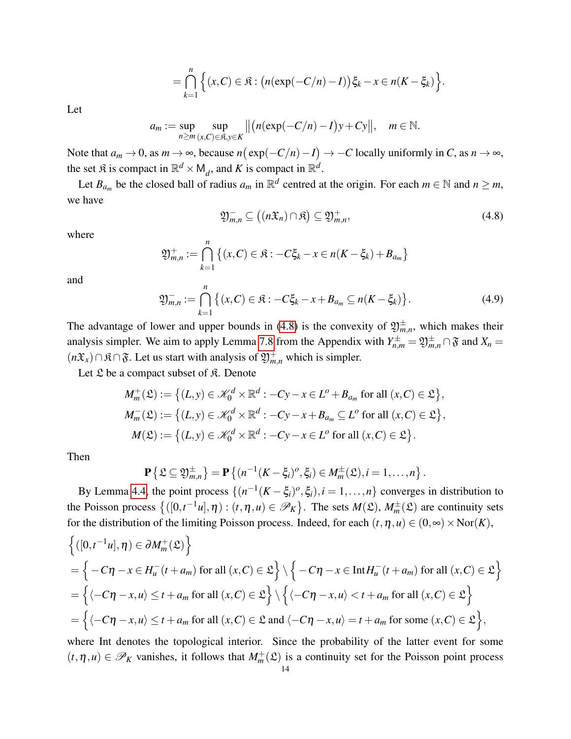$$
= \bigcap_{k=1}^n \Big\{ (x,C) \in \mathfrak{K} : \big( n(\exp(-C/n)-I) \big) \xi_k - x \in n(K-\xi_k) \Big\}.
$$

Let

$$
a_m := \sup_{n \ge m} \sup_{(x,C) \in \mathfrak{K}, y \in K} \left\| \left( n(\exp(-C/n) - I)y + Cy \right\|, \quad m \in \mathbb{N}.
$$

Note that  $a_m \to 0$ , as  $m \to \infty$ , because  $n(\exp(-C/n) - I) \to -C$  locally uniformly in *C*, as  $n \to \infty$ , the set  $\mathfrak{K}$  is compact in  $\mathbb{R}^d \times \mathsf{M}_d$ , and K is compact in  $\mathbb{R}^d$ .

Let  $B_{a_m}$  be the closed ball of radius  $a_m$  in  $\mathbb{R}^d$  centred at the origin. For each  $m \in \mathbb{N}$  and  $n \geq m$ , we have

<span id="page-13-0"></span>
$$
\mathfrak{Y}_{m,n}^- \subseteq ((n\mathfrak{X}_n) \cap \mathfrak{K}) \subseteq \mathfrak{Y}_{m,n}^+, \tag{4.8}
$$

where

$$
\mathfrak{Y}_{m,n}^+ := \bigcap_{k=1}^n \left\{ (x,C) \in \mathfrak{K} : -C \xi_k - x \in n(K - \xi_k) + B_{a_m} \right\}
$$

and

<span id="page-13-1"></span>
$$
\mathfrak{Y}_{m,n}^- := \bigcap_{k=1}^n \big\{ (x,C) \in \mathfrak{K} : -C\xi_k - x + B_{a_m} \subseteq n(K - \xi_k) \big\}.
$$
 (4.9)

The advantage of lower and upper bounds in [\(4.8\)](#page-13-0) is the convexity of  $\mathfrak{Y}_{m,n}^{\pm}$ , which makes their analysis simpler. We aim to apply Lemma [7.8](#page-31-0) from the Appendix with  $Y_{n,m}^{\pm} = \mathfrak{Y}_{m,n}^{\pm} \cap \mathfrak{F}$  and  $X_n =$ ( $n\mathfrak{X}_x$ )∩ $\mathfrak{K} \cap \mathfrak{F}$ . Let us start with analysis of  $\mathfrak{Y}_{m,n}^+$  which is simpler.

Let  $\mathfrak L$  be a compact subset of  $\mathfrak K$ . Denote

$$
M_m^+(\mathfrak{L}) := \left\{ (L, y) \in \mathcal{K}_0^d \times \mathbb{R}^d : -Cy - x \in L^o + B_{a_m} \text{ for all } (x, C) \in \mathfrak{L} \right\},
$$
  

$$
M_m^-(\mathfrak{L}) := \left\{ (L, y) \in \mathcal{K}_0^d \times \mathbb{R}^d : -Cy - x + B_{a_m} \subseteq L^o \text{ for all } (x, C) \in \mathfrak{L} \right\},
$$
  

$$
M(\mathfrak{L}) := \left\{ (L, y) \in \mathcal{K}_0^d \times \mathbb{R}^d : -Cy - x \in L^o \text{ for all } (x, C) \in \mathfrak{L} \right\}.
$$

Then

$$
\mathbf{P}\left\{\mathfrak{L}\subseteq\mathfrak{Y}_{m,n}^{\pm}\right\}=\mathbf{P}\left\{(n^{-1}(K-\xi_i)^o,\xi_i)\in M_m^{\pm}(\mathfrak{L}),i=1,\ldots,n\right\}.
$$

By Lemma [4.4,](#page-11-2) the point process  $\{(n^{-1}(K-\xi_i)^o, \xi_i), i=1,\ldots,n\}$  converges in distribution to the Poisson process  $\{([0,t^{-1}u],\eta) : (t,\eta,u) \in \mathscr{P}_K\}$ . The sets  $M(\mathfrak{L}), M_m^{\pm}(\mathfrak{L})$  are continuity sets for the distribution of the limiting Poisson process. Indeed, for each  $(t, \eta, u) \in (0, \infty) \times \text{Nor}(K)$ ,

$$
\begin{aligned}\n\left\{ ([0, t^{-1}u], \eta) \in \partial M_m^+(\mathfrak{L}) \right\} \\
&= \left\{ -C\eta - x \in H_u^-(t + a_m) \text{ for all } (x, C) \in \mathfrak{L} \right\} \setminus \left\{ -C\eta - x \in \text{Int} H_u^-(t + a_m) \text{ for all } (x, C) \in \mathfrak{L} \right\} \\
&= \left\{ \langle -C\eta - x, u \rangle \le t + a_m \text{ for all } (x, C) \in \mathfrak{L} \right\} \setminus \left\{ \langle -C\eta - x, u \rangle < t + a_m \text{ for all } (x, C) \in \mathfrak{L} \right\} \\
&= \left\{ \langle -C\eta - x, u \rangle \le t + a_m \text{ for all } (x, C) \in \mathfrak{L} \text{ and } \langle -C\eta - x, u \rangle = t + a_m \text{ for some } (x, C) \in \mathfrak{L} \right\},\n\end{aligned}
$$

where Int denotes the topological interior. Since the probability of the latter event for some  $(t, \eta, u) \in \mathscr{P}_K$  vanishes, it follows that  $M_m^+(\mathfrak{L})$  is a continuity set for the Poisson point process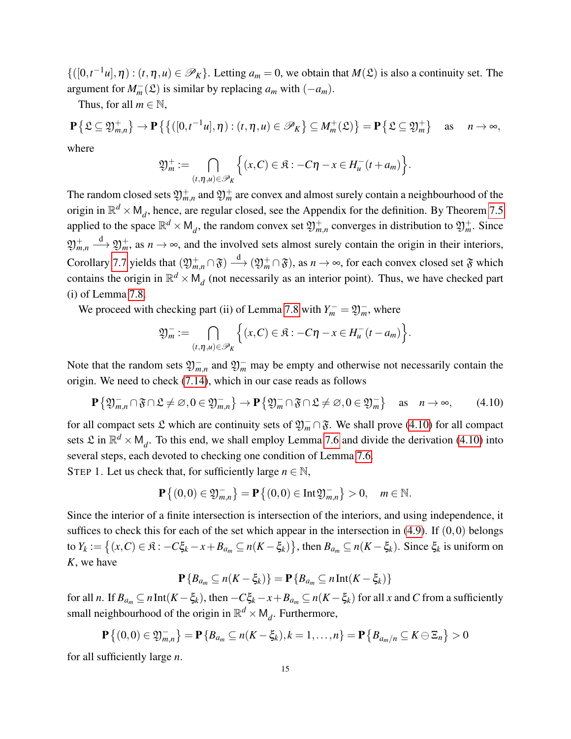$\{([0,t^{-1}u],\eta) : (t,\eta,u) \in \mathscr{P}_K\}$ . Letting  $a_m = 0$ , we obtain that  $M(\mathfrak{L})$  is also a continuity set. The argument for  $M_m^-(\mathfrak{L})$  is similar by replacing  $a_m$  with  $(-a_m)$ .

Thus, for all  $m \in \mathbb{N}$ ,

$$
\mathbf{P}\left\{\mathfrak{L}\subseteq\mathfrak{Y}_{m,n}^{+}\right\}\to\mathbf{P}\left\{\left\{\left([0,t^{-1}u],\eta\right):(t,\eta,u)\in\mathscr{P}_{K}\right\}\subseteq M_{m}^{+}(\mathfrak{L})\right\}=\mathbf{P}\left\{\mathfrak{L}\subseteq\mathfrak{Y}_{m}^{+}\right\}\text{ as }n\to\infty,
$$

where

$$
\mathfrak{Y}_m^+ := \bigcap_{(t,\eta,u)\in\mathscr{P}_K} \Big\{ (x,C) \in \mathfrak{K} : -C\eta - x \in H_u^-(t+a_m) \Big\}.
$$

The random closed sets  $\mathfrak{Y}^+_{m,n}$  and  $\mathfrak{Y}^+_m$  are convex and almost surely contain a neighbourhood of the origin in  $\mathbb{R}^d \times M_d$ , hence, are regular closed, see the Appendix for the definition. By Theorem [7.5](#page-29-0) applied to the space  $\mathbb{R}^d \times M_d$ , the random convex set  $\mathfrak{Y}^+_{m,n}$  converges in distribution to  $\mathfrak{Y}^+_m$ . Since  $\mathfrak{Y}_{m,n}^+$  $\stackrel{d}{\longrightarrow} \mathfrak{Y}_m^+$ , as  $n \to \infty$ , and the involved sets almost surely contain the origin in their interiors, Corollary [7.7](#page-31-1) yields that  $(\mathfrak{Y}^+_{m,n} \cap \mathfrak{F}) \stackrel{d}{\longrightarrow} (\mathfrak{Y}^+_{m} \cap \mathfrak{F})$ , as  $n \to \infty$ , for each convex closed set  $\mathfrak{F}$  which contains the origin in  $\mathbb{R}^d \times M_d$  (not necessarily as an interior point). Thus, we have checked part (i) of Lemma [7.8.](#page-31-0)

We proceed with checking part (ii) of Lemma [7.8](#page-31-0) with  $Y_m^- = \mathfrak{Y}_m^-$ , where

$$
\mathfrak{Y}_m^- := \bigcap_{(t,\eta,u)\in\mathscr{P}_K} \Big\{ (x,C) \in \mathfrak{K} : -C\eta - x \in H_u^-(t-a_m) \Big\}.
$$

Note that the random sets  $\mathfrak{Y}_{m,n}^-$  and  $\mathfrak{Y}_m^-$  may be empty and otherwise not necessarily contain the origin. We need to check [\(7.14\)](#page-31-2), which in our case reads as follows

<span id="page-14-0"></span>
$$
\mathbf{P}\left\{\mathfrak{Y}_{m,n}^{-}\cap\mathfrak{F}\cap\mathfrak{L}\neq\varnothing,0\in\mathfrak{Y}_{m,n}^{-}\right\}\to\mathbf{P}\left\{\mathfrak{Y}_{m}^{-}\cap\mathfrak{F}\cap\mathfrak{L}\neq\varnothing,0\in\mathfrak{Y}_{m}^{-}\right\}\quad\text{as}\quad n\to\infty,
$$
 (4.10)

for all compact sets  $\mathfrak L$  which are continuity sets of  $\mathfrak{Y}_m^- \cap \mathfrak{F}$ . We shall prove [\(4.10\)](#page-14-0) for all compact sets  $\mathfrak{L}$  in  $\mathbb{R}^d \times M_d$ . To this end, we shall employ Lemma [7.6](#page-30-0) and divide the derivation [\(4.10\)](#page-14-0) into several steps, each devoted to checking one condition of Lemma [7.6.](#page-30-0)

STEP 1. Let us check that, for sufficiently large  $n \in \mathbb{N}$ ,

$$
\mathbf{P}\{(0,0)\in \mathfrak{Y}_{m,n}^{-}\}=\mathbf{P}\{(0,0)\in \text{Int}\mathfrak{Y}_{m,n}^{-}\}>0,\quad m\in \mathbb{N}.
$$

Since the interior of a finite intersection is intersection of the interiors, and using independence, it suffices to check this for each of the set which appear in the intersection in  $(4.9)$ . If  $(0,0)$  belongs to  $Y_k := \big\{(x,C)\in\mathfrak{K}\colon -C\xi_k-x+B_{a_m}\subseteq n(K-\xi_k)\big\}$ , then  $B_{a_m}\subseteq n(K-\xi_k)$ . Since  $\xi_k$  is uniform on *K*, we have

$$
\mathbf{P}\left\{B_{a_m} \subseteq n(K-\xi_k)\right\} = \mathbf{P}\left\{B_{a_m} \subseteq n\mathop{\rm Int}\nolimits(K-\xi_k)\right\}
$$

for all *n*. If  $B_{a_m} \subseteq n$  Int $(K - \xi_k)$ , then  $-C\xi_k - x + B_{a_m} \subseteq n(K - \xi_k)$  for all *x* and *C* from a sufficiently small neighbourhood of the origin in  $\mathbb{R}^d \times M_d$ . Furthermore,

$$
\mathbf{P}\left\{(0,0)\in\mathfrak{Y}_{m,n}^{-}\right\}=\mathbf{P}\left\{B_{a_m}\subseteq n(K-\xi_k),k=1,\ldots,n\right\}=\mathbf{P}\left\{B_{a_m/n}\subseteq K\ominus\Xi_n\right\}>0
$$

for all sufficiently large *n*.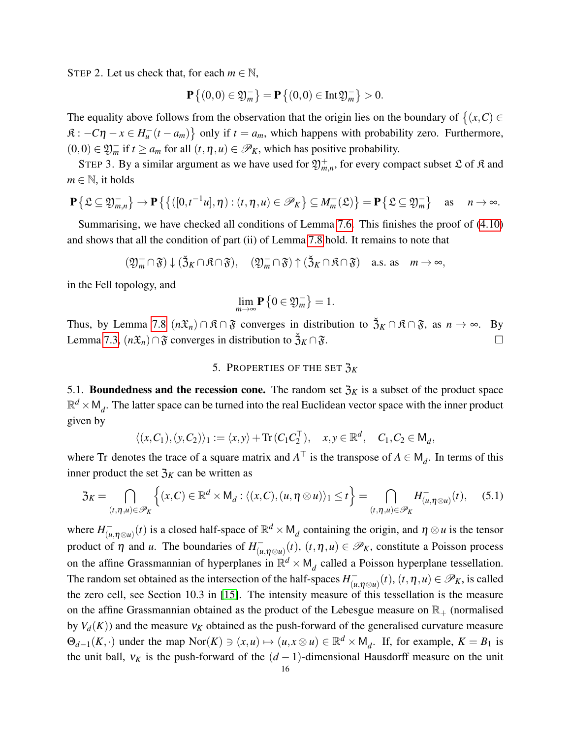STEP 2. Let us check that, for each  $m \in \mathbb{N}$ ,

$$
\mathbf{P}\left\{(0,0)\in\mathfrak{Y}_m^-\right\}=\mathbf{P}\left\{(0,0)\in\mathrm{Int}\mathfrak{Y}_m^-\right\}>0.
$$

The equality above follows from the observation that the origin lies on the boundary of  $\{(x, C) \in$  $\mathfrak{K}: -C\eta - x \in H_u^{-}(t - a_m)$  only if  $t = a_m$ , which happens with probability zero. Furthermore,  $(0,0)$  ∈  $\mathfrak{Y}_m^-$  if  $t \ge a_m$  for all  $(t,\eta,u) \in \mathcal{P}_K$ , which has positive probability.

STEP 3. By a similar argument as we have used for  $\mathfrak{Y}_{m,n}^+$ , for every compact subset  $\mathfrak L$  of  $\mathfrak K$  and  $m \in \mathbb{N}$ , it holds

$$
\mathbf{P}\left\{\mathfrak{L}\subseteq\mathfrak{Y}_{m,n}^{-}\right\}\to\mathbf{P}\left\{\left\{\left([0,t^{-1}u],\eta\right):(t,\eta,u)\in\mathscr{P}_{K}\right\}\subseteq M_{m}^{-}(\mathfrak{L})\right\}=\mathbf{P}\left\{\mathfrak{L}\subseteq\mathfrak{Y}_{m}^{-}\right\}\quad\text{as}\quad n\to\infty.
$$

Summarising, we have checked all conditions of Lemma [7.6.](#page-30-0) This finishes the proof of [\(4.10\)](#page-14-0) and shows that all the condition of part (ii) of Lemma [7.8](#page-31-0) hold. It remains to note that

$$
(\mathfrak{Y}_m^+\cap\mathfrak{F})\downarrow(\mathfrak{Z}_K\cap\mathfrak{K}\cap\mathfrak{F}),\quad (\mathfrak{Y}_m^-\cap\mathfrak{F})\uparrow(\mathfrak{Z}_K\cap\mathfrak{K}\cap\mathfrak{F})\quad\text{a.s. as}\quad m\to\infty,
$$

in the Fell topology, and

$$
\lim_{m\to\infty} \mathbf{P}\left\{0\in\mathfrak{Y}_m^-\right\}=1.
$$

Thus, by Lemma [7.8](#page-31-0)  $(n\mathfrak{X}_n) \cap \mathfrak{K} \cap \mathfrak{F}$  converges in distribution to  $\mathfrak{Z}_K \cap \mathfrak{K} \cap \mathfrak{F}$ , as  $n \to \infty$ . By Lemma [7.3,](#page-27-0)  $(n\mathfrak{X}_n) \cap \mathfrak{F}$  converges in distribution to  $\mathfrak{Z}_K \cap \mathfrak{F}$ .  $\Box$ 

### 5. PROPERTIES OF THE SET  $\mathfrak{Z}_K$

<span id="page-15-0"></span>5.1. **Boundedness and the recession cone.** The random set  $\mathfrak{Z}_K$  is a subset of the product space  $\mathbb{R}^d \times \mathsf{M}_d$ . The latter space can be turned into the real Euclidean vector space with the inner product given by

$$
\langle (x,C_1), (y,C_2) \rangle_1 := \langle x, y \rangle + \text{Tr}(C_1 C_2^{\top}), \quad x, y \in \mathbb{R}^d, \quad C_1, C_2 \in M_d,
$$

where Tr denotes the trace of a square matrix and  $A^{\top}$  is the transpose of  $A \in M_d$ . In terms of this inner product the set  $\mathfrak{Z}_K$  can be written as

$$
\mathfrak{Z}_K = \bigcap_{(t,\eta,u)\in\mathscr{P}_K} \Big\{ (x,C) \in \mathbb{R}^d \times \mathsf{M}_d : \langle (x,C), (u,\eta \otimes u) \rangle_1 \le t \Big\} = \bigcap_{(t,\eta,u)\in\mathscr{P}_K} H^-_{(u,\eta \otimes u)}(t), \quad (5.1)
$$

where  $H^-_{\mu\nu}$  $(\overline{u}, \eta \otimes u)(t)$  is a closed half-space of  $\mathbb{R}^d \times M_d$  containing the origin, and  $\eta \otimes u$  is the tensor product of  $\eta$  and *u*. The boundaries of  $H_{\mu}^ (\overline{u}_{\mu, \eta \otimes u})(t)$ ,  $(t, \eta, u) \in \mathscr{P}_K$ , constitute a Poisson process on the affine Grassmannian of hyperplanes in  $\mathbb{R}^d \times M_d$  called a Poisson hyperplane tessellation. The random set obtained as the intersection of the half-spaces  $H_{\alpha}^ (\overline{u}_{\mu, \eta \otimes u})(t)$ ,  $(t, \eta, u) \in \mathscr{P}_K$ , is called the zero cell, see Section 10.3 in [\[15\]](#page-34-10). The intensity measure of this tessellation is the measure on the affine Grassmannian obtained as the product of the Lebesgue measure on  $\mathbb{R}_+$  (normalised by  $V_d(K)$ ) and the measure  $V_K$  obtained as the push-forward of the generalised curvature measure  $\Theta_{d-1}(K, \cdot)$  under the map  $\text{Nor}(K) \ni (x, u) \mapsto (u, x \otimes u) \in \mathbb{R}^d \times M_d$ . If, for example,  $K = B_1$  is the unit ball,  $v_K$  is the push-forward of the  $(d-1)$ -dimensional Hausdorff measure on the unit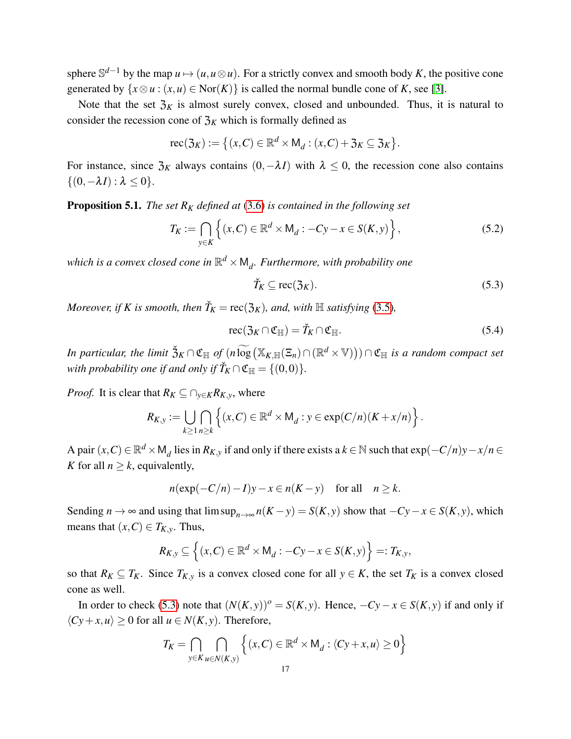sphere  $\mathbb{S}^{d-1}$  by the map  $u \mapsto (u, u \otimes u)$ . For a strictly convex and smooth body *K*, the positive cone generated by  $\{x \otimes u : (x, u) \in \text{Nor}(K)\}\$ is called the normal bundle cone of *K*, see [\[3\]](#page-34-11).

Note that the set  $\mathfrak{Z}_K$  is almost surely convex, closed and unbounded. Thus, it is natural to consider the recession cone of  $\mathfrak{Z}_K$  which is formally defined as

$$
\operatorname{rec}(\mathfrak{Z}_K) := \big\{ (x, C) \in \mathbb{R}^d \times M_d : (x, C) + \mathfrak{Z}_K \subseteq \mathfrak{Z}_K \big\}.
$$

For instance, since  $\mathfrak{Z}_K$  always contains  $(0, -\lambda I)$  with  $\lambda \leq 0$ , the recession cone also contains  $\{(0,-\lambda I): \lambda \leq 0\}.$ 

<span id="page-16-0"></span>**Proposition 5.1.** *The set*  $R_K$  *defined at* [\(3.6\)](#page-10-3) *is contained in the following set* 

$$
T_K := \bigcap_{y \in K} \left\{ (x, C) \in \mathbb{R}^d \times M_d : -Cy - x \in S(K, y) \right\},\tag{5.2}
$$

which is a convex closed cone in  $\mathbb{R}^d \times \mathsf{M}_d$ . Furthermore, with probability one

<span id="page-16-1"></span>
$$
\check{T}_K \subseteq \text{rec}(\mathfrak{Z}_K). \tag{5.3}
$$

*Moreover, if K is smooth, then*  $\check{T}_K = \text{rec}(\mathfrak{Z}_K)$ *, and, with*  $\mathbb H$  *satisfying* [\(3.5\)](#page-9-0)*,* 

<span id="page-16-2"></span>
$$
\operatorname{rec}(\mathfrak{Z}_K \cap \mathfrak{C}_{\mathbb{H}}) = \check{T}_K \cap \mathfrak{C}_{\mathbb{H}}.\tag{5.4}
$$

*In particular, the limit*  $\check{\mathfrak{Z}}_K \cap \mathfrak{C}_\mathbb{H}$  of  $(n \widetilde{\log}(\mathbb{X}_{K,\mathbb{H}}(\Xi_n) \cap (\mathbb{R}^d \times \mathbb{V}))) \cap \mathfrak{C}_\mathbb{H}$  *is a random compact set with probability one if and only if*  $\check{T}_K \cap \mathfrak{C}_{\mathbb{H}} = \{(0,0)\}.$ 

*Proof.* It is clear that  $R_K \subseteq \bigcap_{y \in K} R_{K,y}$ , where

$$
R_{K,y} := \bigcup_{k \geq 1} \bigcap_{n \geq k} \left\{ (x,C) \in \mathbb{R}^d \times M_d : y \in \exp(C/n)(K+x/n) \right\}.
$$

A pair  $(x, C) \in \mathbb{R}^d \times M_d$  lies in  $R_{K,y}$  if and only if there exists a  $k \in \mathbb{N}$  such that  $\exp(-C/n)y - x/n \in$ *K* for all  $n > k$ , equivalently,

$$
n(\exp(-C/n) - I)y - x \in n(K - y) \quad \text{for all} \quad n \ge k.
$$

Sending *n* → ∞ and using that  $\limsup_{n\to\infty} n(K-y) = S(K, y)$  show that  $-Cy-x \in S(K, y)$ , which means that  $(x, C) \in T_{K,y}$ . Thus,

$$
R_{K,y} \subseteq \left\{ (x,C) \in \mathbb{R}^d \times M_d : -Cy - x \in S(K,y) \right\} =: T_{K,y},
$$

so that  $R_K \subseteq T_K$ . Since  $T_{K,y}$  is a convex closed cone for all  $y \in K$ , the set  $T_K$  is a convex closed cone as well.

In order to check [\(5.3\)](#page-16-1) note that  $(N(K, y))^o = S(K, y)$ . Hence,  $-Cy-x \in S(K, y)$  if and only if  $\langle Cy + x, u \rangle$  ≥ 0 for all *u* ∈ *N*(*K*, *y*). Therefore,

$$
T_K = \bigcap_{y \in K} \bigcap_{u \in N(K, y)} \left\{ (x, C) \in \mathbb{R}^d \times M_d : \langle Cy + x, u \rangle \ge 0 \right\}
$$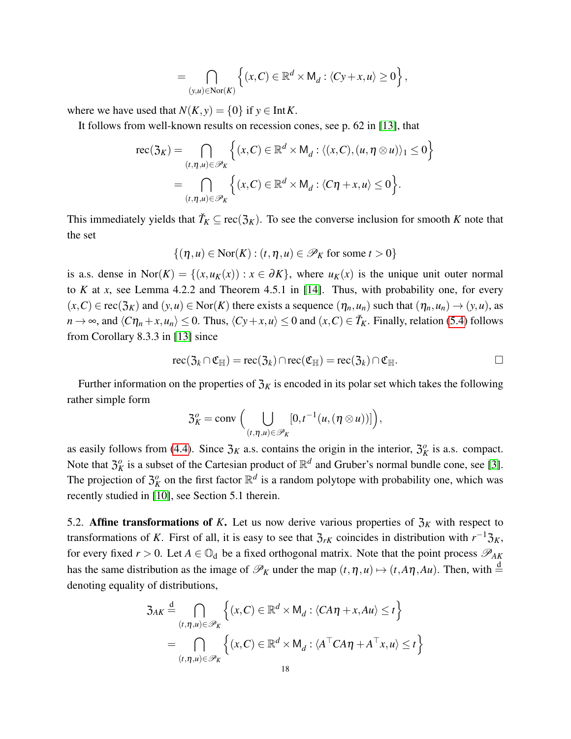$$
= \bigcap_{(y,u)\in \text{Nor}(K)} \left\{ (x,C) \in \mathbb{R}^d \times M_d : \langle Cy + x, u \rangle \ge 0 \right\},\
$$

where we have used that  $N(K, y) = \{0\}$  if  $y \in \text{Int } K$ .

It follows from well-known results on recession cones, see p. 62 in [\[13\]](#page-34-4), that

$$
\text{rec}(\mathfrak{Z}_K) = \bigcap_{(t,\eta,u)\in\mathscr{P}_K} \left\{ (x,C) \in \mathbb{R}^d \times M_d : \langle (x,C), (u,\eta \otimes u) \rangle_1 \le 0 \right\}
$$

$$
= \bigcap_{(t,\eta,u)\in\mathscr{P}_K} \left\{ (x,C) \in \mathbb{R}^d \times M_d : \langle C\eta + x, u \rangle \le 0 \right\}.
$$

This immediately yields that  $\check{T}_K \subseteq \text{rec}(\mathfrak{Z}_K)$ . To see the converse inclusion for smooth *K* note that the set

$$
\{(\eta, u) \in \text{Nor}(K) : (t, \eta, u) \in \mathscr{P}_K \text{ for some } t > 0\}
$$

is a.s. dense in Nor( $K$ ) = { $(x, u_K(x))$  :  $x \in \partial K$ }, where  $u_K(x)$  is the unique unit outer normal to *K* at *x*, see Lemma 4.2.2 and Theorem 4.5.1 in [\[14\]](#page-34-3). Thus, with probability one, for every  $(x, C) \in \text{rec}(\mathfrak{Z}_K)$  and  $(y, u) \in \text{Nor}(K)$  there exists a sequence  $(\eta_n, u_n)$  such that  $(\eta_n, u_n) \to (y, u)$ , as  $n \to \infty$ , and  $\langle C\eta_n + x, u_n \rangle \leq 0$ . Thus,  $\langle Cy + x, u \rangle \leq 0$  and  $(x, C) \in \check{T}_K$ . Finally, relation [\(5.4\)](#page-16-2) follows from Corollary 8.3.3 in [\[13\]](#page-34-4) since

$$
\operatorname{rec}(\mathfrak{Z}_k \cap \mathfrak{C}_{\mathbb{H}}) = \operatorname{rec}(\mathfrak{Z}_k) \cap \operatorname{rec}(\mathfrak{C}_{\mathbb{H}}) = \operatorname{rec}(\mathfrak{Z}_k) \cap \mathfrak{C}_{\mathbb{H}}.
$$

Further information on the properties of  $\mathfrak{Z}_K$  is encoded in its polar set which takes the following rather simple form

$$
\mathfrak{Z}_K^o=\mathrm{conv}\,\Big(\bigcup_{(t,\eta,u)\in\mathscr{P}_K}[0,t^{-1}(u,(\eta\otimes u))]\Big),\,
$$

as easily follows from [\(4.4\)](#page-11-3). Since  $\mathfrak{Z}_K$  a.s. contains the origin in the interior,  $\mathfrak{Z}_K^o$  is a.s. compact. Note that  $\mathfrak{Z}_K^o$  is a subset of the Cartesian product of  $\mathbb{R}^d$  and Gruber's normal bundle cone, see [\[3\]](#page-34-11). The projection of  $\mathfrak{Z}_K^o$  on the first factor  $\mathbb{R}^d$  is a random polytope with probability one, which was recently studied in [\[10\]](#page-34-2), see Section 5.1 therein.

5.2. Affine transformations of K. Let us now derive various properties of  $\mathfrak{Z}_K$  with respect to transformations of *K*. First of all, it is easy to see that  $\mathfrak{Z}_{rK}$  coincides in distribution with  $r^{-1}\mathfrak{Z}_K$ , for every fixed  $r > 0$ . Let  $A \in \mathbb{O}_d$  be a fixed orthogonal matrix. Note that the point process  $\mathscr{P}_{AK}$ has the same distribution as the image of  $\mathcal{P}_K$  under the map  $(t, \eta, u) \mapsto (t, A\eta, Au)$ . Then, with  $\stackrel{d}{=}$ denoting equality of distributions,

$$
3_{AK} \stackrel{d}{=} \bigcap_{(t,\eta,u)\in\mathscr{P}_K} \left\{ (x,C) \in \mathbb{R}^d \times M_d : \langle CA\eta + x, Au \rangle \le t \right\}
$$
  

$$
= \bigcap_{(t,\eta,u)\in\mathscr{P}_K} \left\{ (x,C) \in \mathbb{R}^d \times M_d : \langle A^\top C A\eta + A^\top x, u \rangle \le t \right\}
$$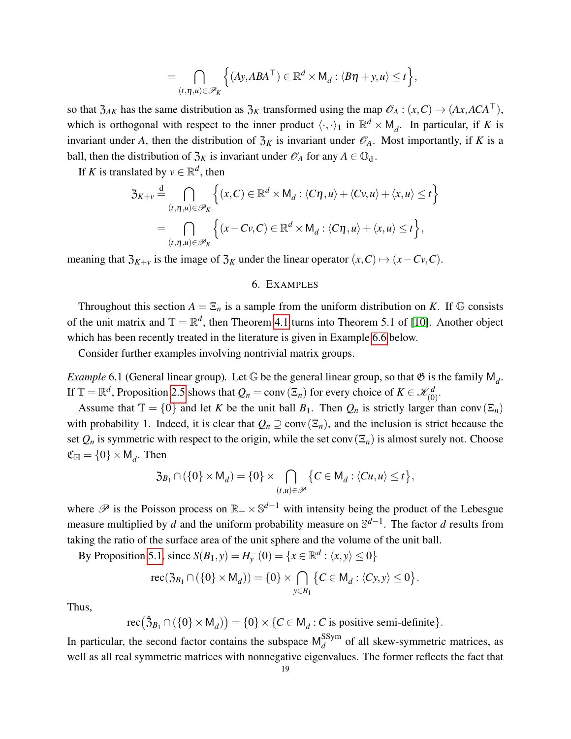$$
= \bigcap_{(t,\eta,u)\in\mathscr{P}_K} \Big\{ (Ay,ABA^\top) \in \mathbb{R}^d \times M_d : \langle B\eta + y, u \rangle \le t \Big\},
$$

so that  $\mathfrak{Z}_{AK}$  has the same distribution as  $\mathfrak{Z}_K$  transformed using the map  $\mathcal{O}_A : (x, C) \to (Ax, ACA^\top)$ , which is orthogonal with respect to the inner product  $\langle \cdot, \cdot \rangle_1$  in  $\mathbb{R}^d \times M_d$ . In particular, if *K* is invariant under *A*, then the distribution of  $\mathfrak{Z}_K$  is invariant under  $\mathcal{O}_A$ . Most importantly, if *K* is a ball, then the distribution of  $\mathfrak{Z}_K$  is invariant under  $\mathscr{O}_A$  for any  $A \in \mathbb{O}_d$ .

If *K* is translated by  $v \in \mathbb{R}^d$ , then

$$
3_{K+v} \stackrel{d}{=} \bigcap_{(t,\eta,u)\in\mathscr{P}_K} \left\{ (x,C) \in \mathbb{R}^d \times M_d : \langle C\eta, u \rangle + \langle Cv, u \rangle + \langle x, u \rangle \le t \right\}
$$

$$
= \bigcap_{(t,\eta,u)\in\mathscr{P}_K} \left\{ (x-Cv,C) \in \mathbb{R}^d \times M_d : \langle C\eta, u \rangle + \langle x, u \rangle \le t \right\},
$$

<span id="page-18-0"></span>meaning that  $\mathfrak{Z}_{K+v}$  is the image of  $\mathfrak{Z}_K$  under the linear operator  $(x, C) \mapsto (x - Cv, C)$ .

### 6. EXAMPLES

Throughout this section  $A = \Sigma_n$  is a sample from the uniform distribution on *K*. If G consists of the unit matrix and  $\mathbb{T} = \mathbb{R}^d$ , then Theorem [4.1](#page-10-1) turns into Theorem 5.1 of [\[10\]](#page-34-2). Another object which has been recently treated in the literature is given in Example [6.6](#page-22-0) below.

Consider further examples involving nontrivial matrix groups.

*Example* 6.1 (General linear group). Let  $\mathbb G$  be the general linear group, so that  $\mathfrak G$  is the family  $\mathsf M_d$ . If  $\mathbb{T} = \mathbb{R}^d$ , Proposition [2.5](#page-4-0) shows that  $Q_n = \text{conv}(\Xi_n)$  for every choice of  $K \in \mathcal{K}_{(0)}^d$ .

Assume that  $\mathbb{T} = \{0\}$  and let *K* be the unit ball  $B_1$ . Then  $Q_n$  is strictly larger than conv $(\Xi_n)$ with probability 1. Indeed, it is clear that  $Q_n \supseteq \text{conv}(\Xi_n)$ , and the inclusion is strict because the set  $Q_n$  is symmetric with respect to the origin, while the set conv $(\Xi_n)$  is almost surely not. Choose  $\mathfrak{C}_{\mathbb{H}} = \{0\} \times \mathsf{M}_d$ . Then

$$
\mathfrak{Z}_{B_1} \cap (\{0\} \times \mathsf{M}_d) = \{0\} \times \bigcap_{(t,u) \in \mathscr{P}} \{C \in \mathsf{M}_d : \langle Cu, u \rangle \leq t\},\
$$

where  $\mathscr P$  is the Poisson process on  $\mathbb{R}_+ \times \mathbb{S}^{d-1}$  with intensity being the product of the Lebesgue measure multiplied by *d* and the uniform probability measure on S *d*−1 . The factor *d* results from taking the ratio of the surface area of the unit sphere and the volume of the unit ball.

By Proposition [5.1,](#page-16-0) since  $S(B_1, y) = H_y^-(0) = \{x \in \mathbb{R}^d : \langle x, y \rangle \le 0\}$ 

$$
\operatorname{rec}(\mathfrak{Z}_{B_1} \cap (\{0\} \times M_d)) = \{0\} \times \bigcap_{y \in B_1} \{C \in M_d : \langle Cy, y \rangle \le 0\}.
$$

Thus,

 $\text{rec}(\check{\mathfrak{Z}}_{B_1} \cap (\{0\} \times \mathsf{M}_d)) = \{0\} \times \{C \in \mathsf{M}_d : C \text{ is positive semi-definite}\}.$ 

In particular, the second factor contains the subspace  $M_d^{SSym}$  $d_d$  of all skew-symmetric matrices, as well as all real symmetric matrices with nonnegative eigenvalues. The former reflects the fact that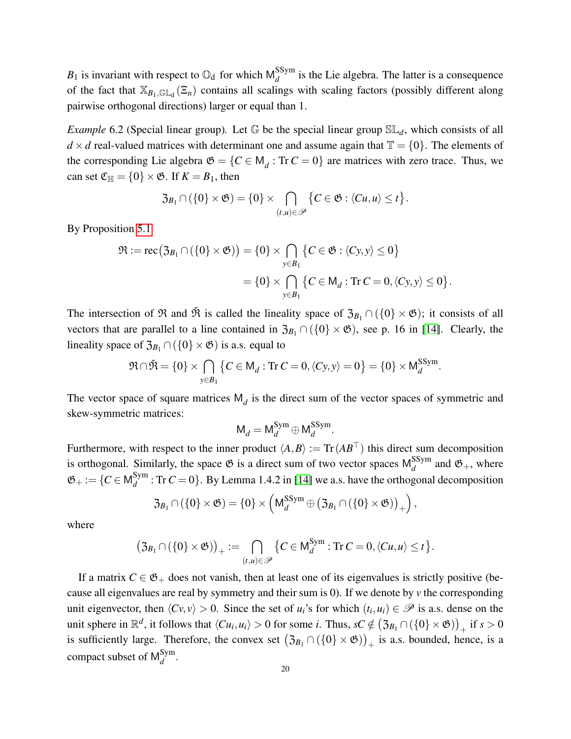$B_1$  is invariant with respect to  $\mathbb{O}_d$  for which  $\mathsf{M}_d^{\mathsf{SSym}}$  $d_d^{\text{asym}}$  is the Lie algebra. The latter is a consequence of the fact that  $\mathbb{X}_{B_1,\mathbb{GL}_d}(\mathbb{Z}_n)$  contains all scalings with scaling factors (possibly different along pairwise orthogonal directions) larger or equal than 1.

*Example* 6.2 (Special linear group). Let  $\mathbb{G}$  be the special linear group  $\mathbb{SL}_d$ , which consists of all  $d \times d$  real-valued matrices with determinant one and assume again that  $\mathbb{T} = \{0\}$ . The elements of the corresponding Lie algebra  $\mathfrak{G} = \{C \in \mathsf{M}_d : \text{Tr } C = 0\}$  are matrices with zero trace. Thus, we can set  $\mathfrak{C}_{\mathbb{H}} = \{0\} \times \mathfrak{G}$ . If  $K = B_1$ , then

$$
\mathfrak{Z}_{B_1} \cap (\{0\} \times \mathfrak{G}) = \{0\} \times \bigcap_{(t,u) \in \mathscr{P}} \{C \in \mathfrak{G} : \langle Cu, u \rangle \leq t\}.
$$

By Proposition [5.1](#page-16-0)

$$
\mathfrak{R} := \text{rec}(\mathfrak{Z}_{B_1} \cap (\{0\} \times \mathfrak{G})) = \{0\} \times \bigcap_{y \in B_1} \{C \in \mathfrak{G} : \langle Cy, y \rangle \le 0\}
$$

$$
= \{0\} \times \bigcap_{y \in B_1} \{C \in \mathsf{M}_d : \text{Tr } C = 0, \langle Cy, y \rangle \le 0\}.
$$

The intersection of  $\Re$  and  $\check{\Re}$  is called the lineality space of  $\mathfrak{Z}_{B_1} \cap (\{0\} \times \mathfrak{G})$ ; it consists of all vectors that are parallel to a line contained in  $\mathfrak{Z}_{B_1} \cap (\{0\} \times \mathfrak{G})$ , see p. 16 in [\[14\]](#page-34-3). Clearly, the lineality space of  $\mathfrak{Z}_{B_1} \cap (\{0\} \times \mathfrak{G})$  is a.s. equal to

$$
\mathfrak{R} \cap \mathfrak{R} = \{0\} \times \bigcap_{y \in B_1} \left\{ C \in \mathsf{M}_d : \text{Tr } C = 0, \langle Cy, y \rangle = 0 \right\} = \{0\} \times \mathsf{M}_d^{\text{SSym}}.
$$

The vector space of square matrices  $M_d$  is the direct sum of the vector spaces of symmetric and skew-symmetric matrices:

$$
\mathsf{M}_d = \mathsf{M}_d^{\mathsf{Sym}} \oplus \mathsf{M}_d^{\mathsf{SSym}}.
$$

Furthermore, with respect to the inner product  $\langle A, B \rangle := \text{Tr}(AB^{\top})$  this direct sum decomposition is orthogonal. Similarly, the space  $\mathfrak{G}$  is a direct sum of two vector spaces  $M_d^{SSym}$  $\frac{d}{d}$  and  $\mathfrak{G}_+$ , where  $\mathfrak{G}_{+}:=\{C\in \mathsf{M}^{\mathsf{Sym}}_{d}$  $d_d^{\text{sym}}$ : Tr  $C = 0$ . By Lemma 1.4.2 in [\[14\]](#page-34-3) we a.s. have the orthogonal decomposition

$$
\mathfrak{Z}_{B_1} \cap (\{0\} \times \mathfrak{G}) = \{0\} \times \left(\mathsf{M}_d^{\mathsf{SSym}} \oplus (\mathfrak{Z}_{B_1} \cap (\{0\} \times \mathfrak{G}))_+\right),
$$

where

$$
(\mathfrak{Z}_{B_1} \cap (\{0\} \times \mathfrak{G}))_+ := \bigcap_{(t,u) \in \mathscr{P}} \{C \in M_d^{\text{Sym}} : \text{Tr } C = 0, \langle Cu, u \rangle \leq t \}.
$$

If a matrix  $C \in \mathfrak{G}_+$  does not vanish, then at least one of its eigenvalues is strictly positive (because all eigenvalues are real by symmetry and their sum is 0). If we denote by *v* the corresponding unit eigenvector, then  $\langle Cv, v \rangle > 0$ . Since the set of *u<sub>i</sub>*'s for which  $(t_i, u_i) \in \mathscr{P}$  is a.s. dense on the unit sphere in  $\mathbb{R}^d$ , it follows that  $\langle Cu_i, u_i \rangle > 0$  for some *i*. Thus,  $sC \notin (\mathfrak{Z}_{B_1} \cap (\{0\} \times \mathfrak{G}))_+$  if  $s > 0$ is sufficiently large. Therefore, the convex set  $(3_{B_1} \cap (\{0\} \times \mathfrak{G}) )_{+}$  is a.s. bounded, hence, is a compact subset of  $\mathsf{M}^{\mathsf{Sym}}_d$ *d* .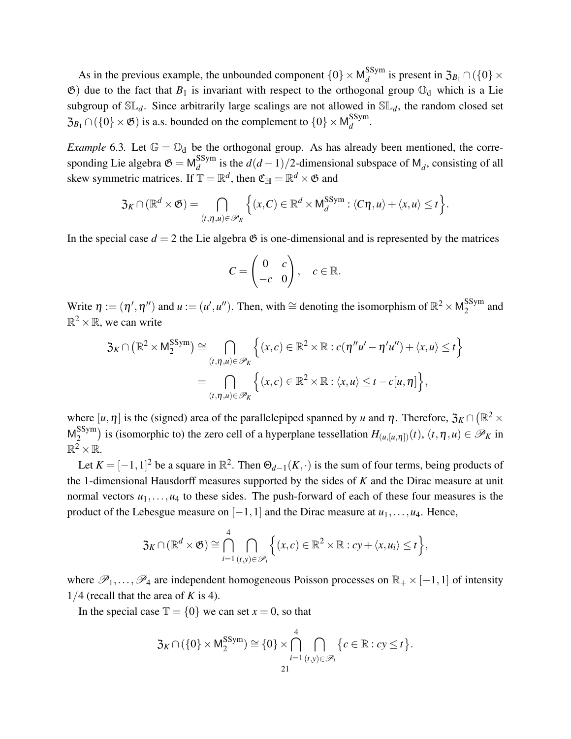As in the previous example, the unbounded component  $\{0\} \times M_d^{SSym}$  $d_d^{\text{SSym}}$  is present in  $\mathfrak{Z}_{B_1} \cap (\{0\} \times$  $\mathfrak{G}$ ) due to the fact that  $B_1$  is invariant with respect to the orthogonal group  $\mathbb{O}_d$  which is a Lie subgroup of  $SL_d$ . Since arbitrarily large scalings are not allowed in  $SL_d$ , the random closed set  $\mathfrak{Z}_{B_1} \cap (\{0\} \times \mathfrak{G})$  is a.s. bounded on the complement to  $\{0\} \times \mathsf{M}_d^{\text{SSym}}$ *d* .

*Example* 6.3. Let  $\mathbb{G} = \mathbb{O}_d$  be the orthogonal group. As has already been mentioned, the corresponding Lie algebra  $\mathfrak{G} = \mathsf{M}^{\text{SSym}}_{d}$  $\frac{d}{d}$  is the  $d(d-1)/2$ -dimensional subspace of M<sub>*d*</sub>, consisting of all skew symmetric matrices. If  $\mathbb{T} = \mathbb{R}^d$ , then  $\mathfrak{C}_{\mathbb{H}} = \mathbb{R}^d \times \mathfrak{G}$  and

$$
\mathfrak{Z}_K \cap (\mathbb{R}^d \times \mathfrak{G}) = \bigcap_{(t,\eta,u) \in \mathscr{P}_K} \Big\{ (x,C) \in \mathbb{R}^d \times M_d^{\text{SSym}} : \langle C\eta, u \rangle + \langle x, u \rangle \leq t \Big\}.
$$

In the special case  $d = 2$  the Lie algebra  $\mathfrak{G}$  is one-dimensional and is represented by the matrices

$$
C = \begin{pmatrix} 0 & c \\ -c & 0 \end{pmatrix}, \quad c \in \mathbb{R}.
$$

Write  $\eta := (\eta', \eta'')$  and  $u := (u', u'')$ . Then, with  $\approx$  denoting the isomorphism of  $\mathbb{R}^2 \times \mathsf{M}_2^{\text{SSym}}$  $_2^{\rm 55yIII}$  and  $\mathbb{R}^2 \times \mathbb{R}$ , we can write

$$
\mathfrak{Z}_K \cap (\mathbb{R}^2 \times \mathsf{M}_2^{\text{SSym}}) \cong \bigcap_{(t,\eta,u) \in \mathscr{P}_K} \left\{ (x,c) \in \mathbb{R}^2 \times \mathbb{R} : c(\eta''u' - \eta'u'') + \langle x,u \rangle \leq t \right\}
$$

$$
= \bigcap_{(t,\eta,u) \in \mathscr{P}_K} \left\{ (x,c) \in \mathbb{R}^2 \times \mathbb{R} : \langle x,u \rangle \leq t - c[u,\eta] \right\},
$$

where  $[u, \eta]$  is the (signed) area of the parallelepiped spanned by *u* and  $\eta$ . Therefore,  $\mathfrak{Z}_K \cap (\mathbb{R}^2 \times$  $M_2^{\text{SSym}}$  $\binom{2}{2}$  is (isomorphic to) the zero cell of a hyperplane tessellation  $H_{(u,[u,\eta])}(t)$ ,  $(t,\eta,u) \in \mathscr{P}_K$  in  $\mathbb{R}^2 \times \mathbb{R}$ .

Let  $K = [-1, 1]^2$  be a square in  $\mathbb{R}^2$ . Then  $\Theta_{d-1}(K, \cdot)$  is the sum of four terms, being products of the 1-dimensional Hausdorff measures supported by the sides of *K* and the Dirac measure at unit normal vectors  $u_1, \ldots, u_4$  to these sides. The push-forward of each of these four measures is the product of the Lebesgue measure on  $[-1,1]$  and the Dirac measure at  $u_1,\ldots,u_4$ . Hence,

$$
\mathfrak{Z}_K \cap (\mathbb{R}^d \times \mathfrak{G}) \cong \bigcap_{i=1}^4 \bigcap_{(t,y)\in \mathscr{P}_i} \Big\{ (x,c) \in \mathbb{R}^2 \times \mathbb{R} : cy + \langle x, u_i \rangle \leq t \Big\},\
$$

where  $\mathscr{P}_1,\ldots,\mathscr{P}_4$  are independent homogeneous Poisson processes on  $\mathbb{R}_+ \times [-1,1]$  of intensity  $1/4$  (recall that the area of *K* is 4).

In the special case  $\mathbb{T} = \{0\}$  we can set  $x = 0$ , so that

$$
\mathfrak{Z}_K \cap (\{0\} \times \mathsf{M}_2^{\mathsf{SSym}}) \cong \{0\} \times \bigcap_{i=1}^4 \bigcap_{(t,y) \in \mathscr{P}_i} \{c \in \mathbb{R} : c\mathbf{y} \leq t\}.
$$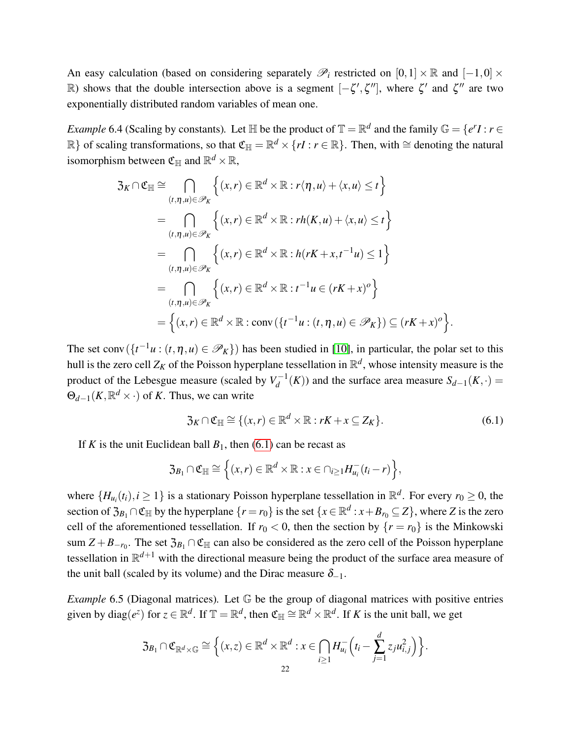An easy calculation (based on considering separately  $\mathscr{P}_i$  restricted on  $[0,1] \times \mathbb{R}$  and  $[-1,0] \times$ R) shows that the double intersection above is a segment  $[-\zeta', \zeta'']$ , where  $\zeta'$  and  $\zeta''$  are two exponentially distributed random variables of mean one.

*Example* 6.4 (Scaling by constants). Let  $\mathbb{H}$  be the product of  $\mathbb{T} = \mathbb{R}^d$  and the family  $\mathbb{G} = \{e^r I : r \in I\}$ R} of scaling transformations, so that  $\mathfrak{C}_{\mathbb{H}} = \mathbb{R}^d \times \{rI : r \in \mathbb{R}\}$ . Then, with  $\cong$  denoting the natural isomorphism between  $\mathfrak{C}_\mathbb{H}$  and  $\mathbb{R}^d\times\mathbb{R},$ 

$$
3_K \cap \mathfrak{C}_{\mathbb{H}} \cong \bigcap_{(t,\eta,u) \in \mathscr{P}_K} \left\{ (x,r) \in \mathbb{R}^d \times \mathbb{R} : r\langle \eta, u \rangle + \langle x, u \rangle \le t \right\}
$$
  
\n
$$
= \bigcap_{(t,\eta,u) \in \mathscr{P}_K} \left\{ (x,r) \in \mathbb{R}^d \times \mathbb{R} : rh(K,u) + \langle x, u \rangle \le t \right\}
$$
  
\n
$$
= \bigcap_{(t,\eta,u) \in \mathscr{P}_K} \left\{ (x,r) \in \mathbb{R}^d \times \mathbb{R} : h(rK + x, t^{-1}u) \le 1 \right\}
$$
  
\n
$$
= \bigcap_{(t,\eta,u) \in \mathscr{P}_K} \left\{ (x,r) \in \mathbb{R}^d \times \mathbb{R} : t^{-1}u \in (rK + x)^o \right\}
$$
  
\n
$$
= \left\{ (x,r) \in \mathbb{R}^d \times \mathbb{R} : \text{conv}(\{t^{-1}u : (t,\eta,u) \in \mathscr{P}_K\}) \subseteq (rK + x)^o \right\}.
$$

The set conv $(\{t^{-1}u : (t, \eta, u) \in \mathscr{P}_K\})$  has been studied in [\[10\]](#page-34-2), in particular, the polar set to this hull is the zero cell  $Z_K$  of the Poisson hyperplane tessellation in  $\mathbb{R}^d$ , whose intensity measure is the product of the Lebesgue measure (scaled by  $V_d^{-1}$  $S_{d-1}(K)$  and the surface area measure  $S_{d-1}(K, \cdot)$  =  $\Theta_{d-1}(K,\mathbb{R}^d \times \cdot)$  of *K*. Thus, we can write

<span id="page-21-0"></span>
$$
\mathfrak{Z}_K \cap \mathfrak{C}_{\mathbb{H}} \cong \{ (x, r) \in \mathbb{R}^d \times \mathbb{R} : rK + x \subseteq Z_K \}. \tag{6.1}
$$

If *K* is the unit Euclidean ball  $B_1$ , then [\(6.1\)](#page-21-0) can be recast as

$$
\mathfrak{Z}_{B_1} \cap \mathfrak{C}_{\mathbb{H}} \cong \left\{ (x,r) \in \mathbb{R}^d \times \mathbb{R} : x \in \cap_{i \geq 1} H_{u_i}^-(t_i - r) \right\},\
$$

where  $\{H_{u_i}(t_i), i \geq 1\}$  is a stationary Poisson hyperplane tessellation in  $\mathbb{R}^d$ . For every  $r_0 \geq 0$ , the section of  $\mathfrak{Z}_{B_1} \cap \mathfrak{C}_{\mathbb{H}}$  by the hyperplane  $\{r = r_0\}$  is the set  $\{x \in \mathbb{R}^d : x + B_{r_0} \subseteq Z\}$ , where *Z* is the zero cell of the aforementioned tessellation. If  $r_0 < 0$ , then the section by  $\{r = r_0\}$  is the Minkowski sum  $Z + B_{-r_0}$ . The set  $\mathfrak{Z}_{B_1} \cap \mathfrak{C}_{\mathbb{H}}$  can also be considered as the zero cell of the Poisson hyperplane tessellation in R *<sup>d</sup>*+<sup>1</sup> with the directional measure being the product of the surface area measure of the unit ball (scaled by its volume) and the Dirac measure  $\delta_{-1}$ .

*Example* 6.5 (Diagonal matrices)*.* Let G be the group of diagonal matrices with positive entries given by  $diag(e^z)$  for  $z \in \mathbb{R}^d$ . If  $\mathbb{T} = \mathbb{R}^d$ , then  $\mathfrak{C}_{\mathbb{H}} \cong \mathbb{R}^d \times \mathbb{R}^d$ . If K is the unit ball, we get

$$
\mathfrak{Z}_{B_1} \cap \mathfrak{C}_{\mathbb{R}^d \times \mathbb{G}} \cong \Big\{ (x,z) \in \mathbb{R}^d \times \mathbb{R}^d : x \in \bigcap_{i \geq 1} H_{u_i}^- \left( t_i - \sum_{j=1}^d z_j u_{i,j}^2 \right) \Big\}.
$$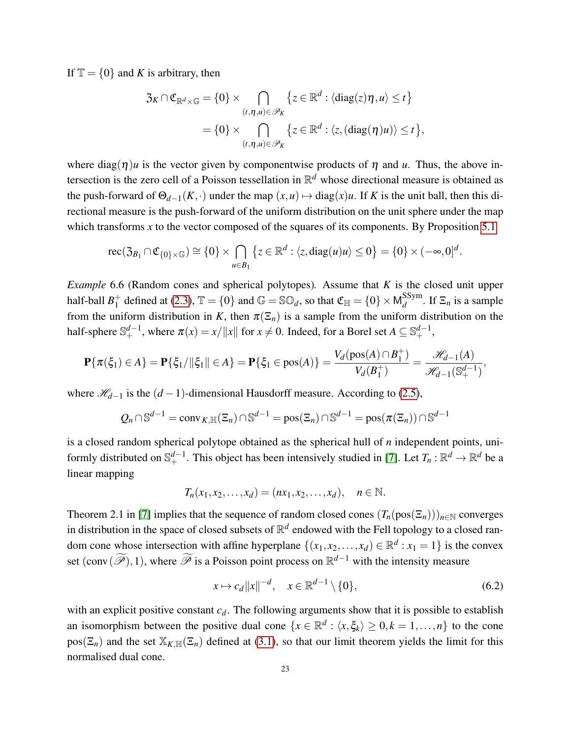If  $\mathbb{T} = \{0\}$  and *K* is arbitrary, then

$$
\mathfrak{Z}_K \cap \mathfrak{C}_{\mathbb{R}^d \times \mathbb{G}} = \{0\} \times \bigcap_{(t,\eta,u) \in \mathscr{P}_K} \{z \in \mathbb{R}^d : \langle \mathrm{diag}(z)\eta, u \rangle \le t\}
$$

$$
= \{0\} \times \bigcap_{(t,\eta,u) \in \mathscr{P}_K} \{z \in \mathbb{R}^d : \langle z, (\mathrm{diag}(\eta)u) \rangle \le t\},\
$$

where diag( $\eta$ )*u* is the vector given by componentwise products of  $\eta$  and *u*. Thus, the above intersection is the zero cell of a Poisson tessellation in R *<sup>d</sup>* whose directional measure is obtained as the push-forward of  $\Theta_{d-1}(K, \cdot)$  under the map  $(x, u) \mapsto diag(x)u$ . If *K* is the unit ball, then this directional measure is the push-forward of the uniform distribution on the unit sphere under the map which transforms  $x$  to the vector composed of the squares of its components. By Proposition [5.1](#page-16-0)

$$
\operatorname{rec}(\mathfrak{Z}_{B_1} \cap \mathfrak{C}_{\{0\} \times \mathbb{G}}) \cong \{0\} \times \bigcap_{u \in B_1} \left\{ z \in \mathbb{R}^d : \langle z, \operatorname{diag}(u)u \rangle \le 0 \right\} = \{0\} \times (-\infty, 0]^d.
$$

<span id="page-22-0"></span>*Example* 6.6 (Random cones and spherical polytopes)*.* Assume that *K* is the closed unit upper half-ball  $B_1^+$  $_1^+$  defined at [\(2.3\)](#page-6-3),  $\mathbb{T} = \{0\}$  and  $\mathbb{G} = \mathbb{SO}_d$ , so that  $\mathfrak{C}_{\mathbb{H}} = \{0\} \times \mathsf{M}_d^{\mathsf{SSym}}$  $\frac{d}{d}$ . If  $\Xi_n$  is a sample from the uniform distribution in *K*, then  $\pi(\Xi_n)$  is a sample from the uniform distribution on the half-sphere  $\mathbb{S}^{d-1}_+$ , where  $\pi(x) = x / \|x\|$  for  $x \neq 0$ . Indeed, for a Borel set  $A \subseteq \mathbb{S}^{d-1}_+$ ,

$$
\mathbf{P}\{\pi(\xi_1)\in A\}=\mathbf{P}\{\xi_1/\|\xi_1\|\in A\}=\mathbf{P}\{\xi_1\in\text{pos}(A)\}=\frac{V_d(\text{pos}(A)\cap B_1^+)}{V_d(B_1^+)}=\frac{\mathcal{H}_{d-1}(A)}{\mathcal{H}_{d-1}(S_+^{d-1})},
$$

where  $\mathcal{H}_{d-1}$  is the  $(d-1)$ -dimensional Hausdorff measure. According to [\(2.5\)](#page-6-1),

$$
Q_n \cap \mathbb{S}^{d-1} = \operatorname{conv}_{K,\mathbb{H}}(\Xi_n) \cap \mathbb{S}^{d-1} = \operatorname{pos}(\Xi_n) \cap \mathbb{S}^{d-1} = \operatorname{pos}(\pi(\Xi_n)) \cap \mathbb{S}^{d-1}
$$

is a closed random spherical polytope obtained as the spherical hull of *n* independent points, uniformly distributed on  $\mathbb{S}^{d-1}_+$ . This object has been intensively studied in [\[7\]](#page-34-5). Let  $T_n : \mathbb{R}^d \to \mathbb{R}^d$  be a linear mapping

$$
T_n(x_1, x_2,...,x_d) = (nx_1, x_2,...,x_d), \quad n \in \mathbb{N}.
$$

Theorem 2.1 in [\[7\]](#page-34-5) implies that the sequence of random closed cones  $(T_n(pos(\Xi_n)))_{n\in\mathbb{N}}$  converges in distribution in the space of closed subsets of  $\mathbb{R}^d$  endowed with the Fell topology to a closed random cone whose intersection with affine hyperplane  $\{(x_1, x_2,..., x_d) \in \mathbb{R}^d : x_1 = 1\}$  is the convex set  $(conv(\widetilde{\mathscr{P}}),1)$ , where  $\widetilde{\mathscr{P}}$  is a Poisson point process on  $\mathbb{R}^{d-1}$  with the intensity measure

<span id="page-22-1"></span>
$$
x \mapsto c_d ||x||^{-d}, \quad x \in \mathbb{R}^{d-1} \setminus \{0\},\tag{6.2}
$$

with an explicit positive constant  $c_d$ . The following arguments show that it is possible to establish an isomorphism between the positive dual cone  $\{x \in \mathbb{R}^d : \langle x, \xi_k \rangle \geq 0, k = 1, \ldots, n\}$  to the cone  $pos(\Xi_n)$  and the set  $\mathbb{X}_{K,\mathbb{H}}(\Xi_n)$  defined at [\(3.1\)](#page-6-4), so that our limit theorem yields the limit for this normalised dual cone.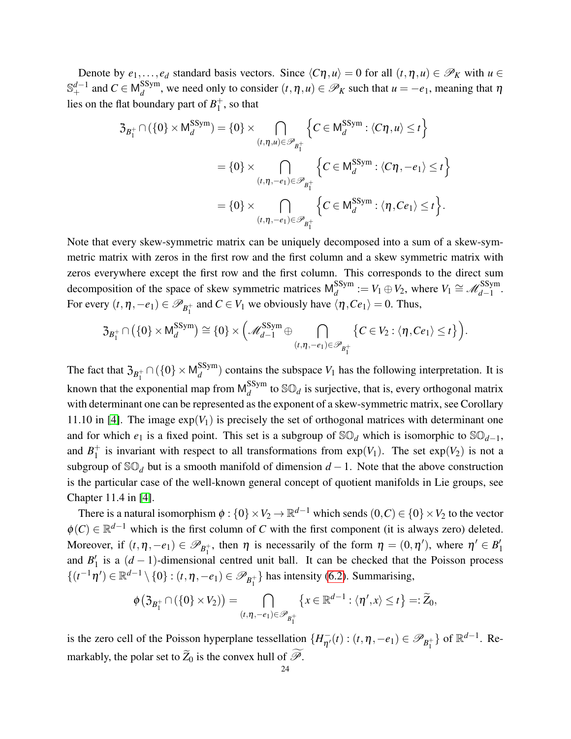Denote by  $e_1, \ldots, e_d$  standard basis vectors. Since  $\langle C\eta, u \rangle = 0$  for all  $(t, \eta, u) \in \mathcal{P}_K$  with  $u \in$ S<sup>*d*−1</sup> and *C* ∈ M $_d^{\text{SSym}}$  $\mathcal{P}_d^{sym}$ , we need only to consider  $(t, \eta, u) \in \mathcal{P}_K$  such that  $u = -e_1$ , meaning that  $\eta$ lies on the flat boundary part of  $B_1^+$  $_1^+$ , so that

$$
3_{B_1^+} \cap (\{0\} \times \mathsf{M}_d^{\text{SSym}}) = \{0\} \times \bigcap_{(t,\eta,u) \in \mathscr{P}_{B_1^+}} \left\{ C \in \mathsf{M}_d^{\text{SSym}} : \langle C\eta, u \rangle \le t \right\}
$$

$$
= \{0\} \times \bigcap_{(t,\eta,-e_1) \in \mathscr{P}_{B_1^+}} \left\{ C \in \mathsf{M}_d^{\text{SSym}} : \langle C\eta, -e_1 \rangle \le t \right\}
$$

$$
= \{0\} \times \bigcap_{(t,\eta,-e_1) \in \mathscr{P}_{B_1^+}} \left\{ C \in \mathsf{M}_d^{\text{SSym}} : \langle \eta, Ce_1 \rangle \le t \right\}.
$$

Note that every skew-symmetric matrix can be uniquely decomposed into a sum of a skew-symmetric matrix with zeros in the first row and the first column and a skew symmetric matrix with zeros everywhere except the first row and the first column. This corresponds to the direct sum decomposition of the space of skew symmetric matrices  $M_A^{SSym}$  $Q_d^{\text{SSym}} := V_1 \oplus V_2$ , where  $V_1 \cong \mathscr{M}_{d-1}^{\text{SSym}}$ . For every  $(t, \eta, -e_1) \in \mathscr{P}_{B_1^+}$  and  $C \in V_1$  we obviously have  $\langle \eta, Ce_1 \rangle = 0$ . Thus,

$$
\mathfrak{Z}_{B_1^+} \cap (\{0\} \times \mathsf{M}_d^{\mathsf{SSym}}) \cong \{0\} \times \Big( \mathscr{M}_{d-1}^{\mathsf{SSym}} \oplus \bigcap_{(t,\eta,-e_1) \in \mathscr{P}_{B_1^+}} \big\{ C \in V_2 : \langle \eta, Ce_1 \rangle \leq t \big\} \Big).
$$

The fact that  $\mathfrak{Z}_{B_1^+} \cap (\{0\} \times \mathsf{M}_d^{\text{SSym}})$  $\binom{355 \text{m}}{d}$  contains the subspace  $V_1$  has the following interpretation. It is known that the exponential map from  $M_d^{\rm SSym}$  $\int_{d}^{Sym}$  to  $\mathbb{SO}_d$  is surjective, that is, every orthogonal matrix with determinant one can be represented as the exponent of a skew-symmetric matrix, see Corollary 11.10 in [\[4\]](#page-34-7). The image  $\exp(V_1)$  is precisely the set of orthogonal matrices with determinant one and for which  $e_1$  is a fixed point. This set is a subgroup of  $\mathbb{SO}_d$  which is isomorphic to  $\mathbb{SO}_{d-1}$ , and  $B_1^+$  $_1^+$  is invariant with respect to all transformations from  $exp(V_1)$ . The set  $exp(V_2)$  is not a subgroup of  $\mathbb{SO}_d$  but is a smooth manifold of dimension  $d-1$ . Note that the above construction is the particular case of the well-known general concept of quotient manifolds in Lie groups, see Chapter 11.4 in [\[4\]](#page-34-7).

There is a natural isomorphism  $\phi: \{0\} \times V_2 \to \mathbb{R}^{d-1}$  which sends  $(0, C) \in \{0\} \times V_2$  to the vector  $\phi(C) \in \mathbb{R}^{d-1}$  which is the first column of *C* with the first component (it is always zero) deleted. Moreover, if  $(t, \eta, -e_1) \in \mathscr{P}_{B_1^+}$ , then  $\eta$  is necessarily of the form  $\eta = (0, \eta')$ , where  $\eta' \in B_1'$ 1 and  $B_1'$  $\frac{1}{1}$  is a  $(d-1)$ -dimensional centred unit ball. It can be checked that the Poisson process  $\{(t^{-1}\eta') \in \mathbb{R}^{d-1} \setminus \{0\} : (t,\eta,-e_1) \in \mathscr{P}_{B_1^+}\}\$  has intensity [\(6.2\)](#page-22-1). Summarising,

$$
\phi\big(\mathfrak{Z}_{B_1^+} \cap (\{0\} \times V_2)\big) = \bigcap_{(t,\eta,-e_1) \in \mathscr{P}_{B_1^+}} \left\{x \in \mathbb{R}^{d-1} : \langle \eta',x \rangle \leq t\right\} =: \widetilde{Z}_0,
$$

is the zero cell of the Poisson hyperplane tessellation  $\{H_{\eta'}^-(t) : (t, \eta, -e_1) \in \mathscr{P}_{B_1^+}\}\$  of  $\mathbb{R}^{d-1}$ . Remarkably, the polar set to  $\widetilde{Z}_0$  is the convex hull of  $\widetilde{\mathcal{P}}$ .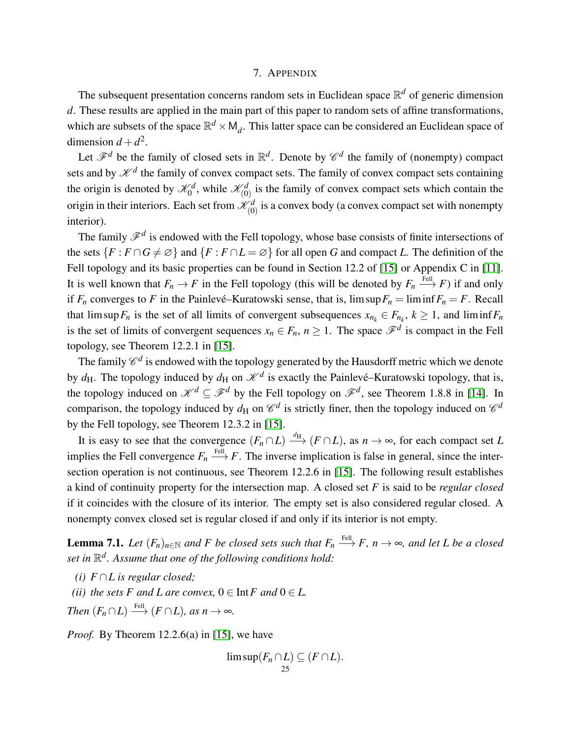#### 7. APPENDIX

The subsequent presentation concerns random sets in Euclidean space R *<sup>d</sup>* of generic dimension *d*. These results are applied in the main part of this paper to random sets of affine transformations, which are subsets of the space  $\mathbb{R}^d \times M_d$ . This latter space can be considered an Euclidean space of dimension  $d + d^2$ .

Let  $\mathscr{F}^d$  be the family of closed sets in  $\mathbb{R}^d$ . Denote by  $\mathscr{C}^d$  the family of (nonempty) compact sets and by  $\mathcal{K}^d$  the family of convex compact sets. The family of convex compact sets containing the origin is denoted by  $\mathcal{K}_0^d$ , while  $\mathcal{K}_{(0)}^d$  is the family of convex compact sets which contain the origin in their interiors. Each set from  $\mathcal{K}_{(0)}^d$  is a convex body (a convex compact set with nonempty interior).

The family  $\mathscr{F}^d$  is endowed with the Fell topology, whose base consists of finite intersections of the sets  ${F : F \cap G \neq \emptyset}$  and  ${F : F \cap L = \emptyset}$  for all open *G* and compact *L*. The definition of the Fell topology and its basic properties can be found in Section 12.2 of [\[15\]](#page-34-10) or Appendix C in [\[11\]](#page-34-12). It is well known that  $F_n \to F$  in the Fell topology (this will be denoted by  $F_n \stackrel{\text{FeII}}{\longrightarrow} F$ ) if and only if  $F_n$  converges to *F* in the Painlevé–Kuratowski sense, that is,  $\limsup F_n = \liminf F_n = F$ . Recall that  $\limsup F_n$  is the set of all limits of convergent subsequences  $x_{n_k} \in F_{n_k}$ ,  $k \ge 1$ , and  $\liminf F_n$ is the set of limits of convergent sequences  $x_n \in F_n$ ,  $n \ge 1$ . The space  $\mathscr{F}^d$  is compact in the Fell topology, see Theorem 12.2.1 in [\[15\]](#page-34-10).

The family  $\mathscr{C}^d$  is endowed with the topology generated by the Hausdorff metric which we denote by  $d_H$ . The topology induced by  $d_H$  on  $\mathcal{K}^d$  is exactly the Painlevé–Kuratowski topology, that is, the topology induced on  $\mathcal{K}^d \subseteq \mathcal{F}^d$  by the Fell topology on  $\mathcal{F}^d$ , see Theorem 1.8.8 in [\[14\]](#page-34-3). In comparison, the topology induced by  $d_H$  on  $\mathcal{C}^d$  is strictly finer, then the topology induced on  $\mathcal{C}^d$ by the Fell topology, see Theorem 12.3.2 in [\[15\]](#page-34-10).

It is easy to see that the convergence  $(F_n \cap L) \xrightarrow{d_H} (F \cap L)$ , as  $n \to \infty$ , for each compact set *L* implies the Fell convergence  $F_n \stackrel{\text{FeII}}{\longrightarrow} F$ . The inverse implication is false in general, since the intersection operation is not continuous, see Theorem 12.2.6 in [\[15\]](#page-34-10). The following result establishes a kind of continuity property for the intersection map. A closed set *F* is said to be *regular closed* if it coincides with the closure of its interior. The empty set is also considered regular closed. A nonempty convex closed set is regular closed if and only if its interior is not empty.

<span id="page-24-0"></span>**Lemma 7.1.** *Let*  $(F_n)_{n\in\mathbb{N}}$  and F be closed sets such that  $F_n \stackrel{\text{Fell}}{\longrightarrow} F$ ,  $n \to \infty$ , and let L be a closed *set in* R *d . Assume that one of the following conditions hold:*

- *(i) F* ∩*L is regular closed;*
- *(ii) the sets F* and *L* are convex,  $0 \in \text{Int } F$  and  $0 \in L$ .

*Then*  $(F_n \cap L) \xrightarrow{\text{Fell}} (F \cap L)$ *, as n*  $\rightarrow \infty$ *.* 

*Proof.* By Theorem 12.2.6(a) in [\[15\]](#page-34-10), we have

$$
\limsup_{25} (F_n \cap L) \subseteq (F \cap L).
$$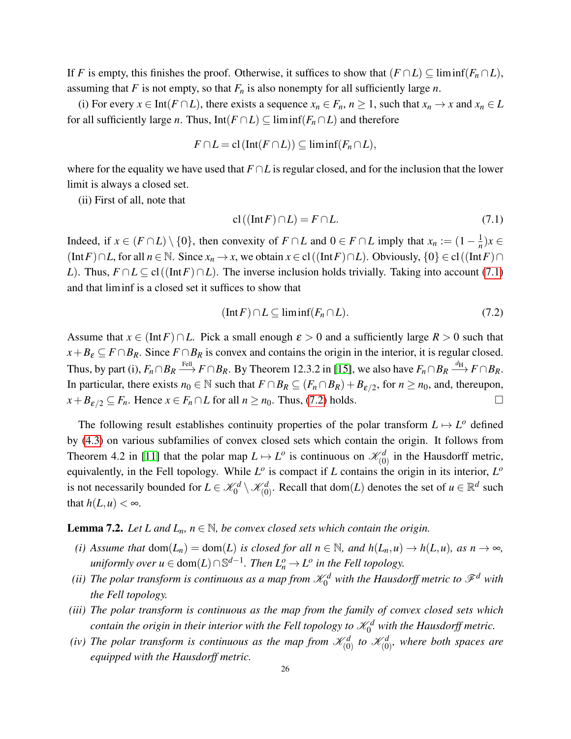If *F* is empty, this finishes the proof. Otherwise, it suffices to show that  $(F \cap L) \subseteq \liminf (F_n \cap L)$ , assuming that *F* is not empty, so that  $F<sub>n</sub>$  is also nonempty for all sufficiently large *n*.

(i) For every  $x \in Int(F \cap L)$ , there exists a sequence  $x_n \in F_n$ ,  $n \ge 1$ , such that  $x_n \to x$  and  $x_n \in L$ for all sufficiently large *n*. Thus, Int( $F \cap L$ )  $\subseteq$  liminf( $F_n \cap L$ ) and therefore

$$
F \cap L = \mathrm{cl}\left(\mathrm{Int}(F \cap L)\right) \subseteq \mathrm{lim\,inf}(F_n \cap L),
$$

where for the equality we have used that *F* ∩*L* is regular closed, and for the inclusion that the lower limit is always a closed set.

(ii) First of all, note that

<span id="page-25-1"></span>
$$
cl((Int F) \cap L) = F \cap L. \tag{7.1}
$$

Indeed, if  $x \in (F \cap L) \setminus \{0\}$ , then convexity of  $F \cap L$  and  $0 \in F \cap L$  imply that  $x_n := (1 - \frac{1}{n})$  $\frac{1}{n}$ )*x* ∈ (Int*F*)∩*L*, for all  $n \in \mathbb{N}$ . Since  $x_n \to x$ , we obtain  $x \in cl$  ((Int*F*)∩*L*). Obviously,  $\{0\} \in cl$  ((Int*F*)∩ *L*). Thus,  $F \cap L \subseteq cl((Int F) \cap L)$ . The inverse inclusion holds trivially. Taking into account [\(7.1\)](#page-25-1) and that liminf is a closed set it suffices to show that

<span id="page-25-2"></span>
$$
(\text{Int } F) \cap L \subseteq \text{lim inf}(F_n \cap L). \tag{7.2}
$$

Assume that  $x \in (\text{Int } F) \cap L$ . Pick a small enough  $\varepsilon > 0$  and a sufficiently large  $R > 0$  such that  $x + B_{\varepsilon} \subseteq F \cap B_R$ . Since  $F \cap B_R$  is convex and contains the origin in the interior, it is regular closed. Thus, by part (i),  $F_n \cap B_R \stackrel{\text{FeII}}{\longrightarrow} F \cap B_R$ . By Theorem 12.3.2 in [\[15\]](#page-34-10), we also have  $F_n \cap B_R \stackrel{d_H}{\longrightarrow} F \cap B_R$ . In particular, there exists  $n_0 \in \mathbb{N}$  such that  $F \cap B_R \subseteq (F_n \cap B_R) + B_{\varepsilon/2}$ , for  $n \ge n_0$ , and, thereupon,  $x + B_{\varepsilon/2} \subseteq F_n$ . Hence  $x \in F_n \cap L$  for all  $n \ge n_0$ . Thus, [\(7.2\)](#page-25-2) holds.

The following result establishes continuity properties of the polar transform  $L \mapsto L^{\circ}$  defined by [\(4.3\)](#page-11-4) on various subfamilies of convex closed sets which contain the origin. It follows from Theorem 4.2 in [\[11\]](#page-34-12) that the polar map  $L \mapsto L^o$  is continuous on  $\mathcal{K}_{(0)}^d$  in the Hausdorff metric, equivalently, in the Fell topology. While  $L^o$  is compact if *L* contains the origin in its interior,  $L^o$ is not necessarily bounded for  $L \in \mathcal{K}_0^d \setminus \mathcal{K}_{(0)}^d$ . Recall that dom(*L*) denotes the set of  $u \in \mathbb{R}^d$  such that  $h(L, u) < \infty$ .

#### <span id="page-25-0"></span>**Lemma 7.2.** *Let L and*  $L_n$ *, n*  $\in \mathbb{N}$ *, be convex closed sets which contain the origin.*

- *(i) Assume that*  $dom(L_n) = dom(L)$  *is closed for all*  $n \in \mathbb{N}$ *, and*  $h(L_n, u) \rightarrow h(L, u)$ *, as*  $n \rightarrow \infty$ *,*  $u$ *niformly over*  $u \in \text{dom}(L) \cap \mathbb{S}^{d-1}$ . Then  $L^o_n \to L^o$  in the Fell topology.
- (ii) The polar transform is continuous as a map from  $\mathscr{K}^d_0$  with the Hausdorff metric to  $\mathscr{F}^d$  with *the Fell topology.*
- *(iii) The polar transform is continuous as the map from the family of convex closed sets which* contain the origin in their interior with the Fell topology to  $\mathscr{K}^d_0$  with the Hausdorff metric.
- *(iv)* The polar transform is continuous as the map from  $\mathscr{K}^d_{(0)}$  to  $\mathscr{K}^d_{(0)}$ , where both spaces are *equipped with the Hausdorff metric.*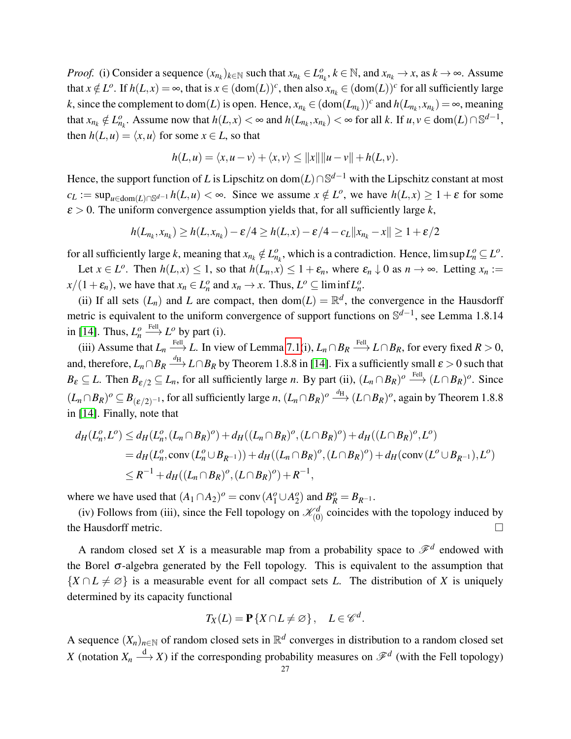*Proof.* (i) Consider a sequence  $(x_{n_k})_{k \in \mathbb{N}}$  such that  $x_{n_k} \in L_{n_k}^o$ ,  $k \in \mathbb{N}$ , and  $x_{n_k} \to x$ , as  $k \to \infty$ . Assume that  $x \notin L^o$ . If  $h(L, x) = \infty$ , that is  $x \in (\text{dom}(L))^c$ , then also  $x_{n_k} \in (\text{dom}(L))^c$  for all sufficiently large *k*, since the complement to dom(*L*) is open. Hence,  $x_{n_k} \in (\text{dom}(L_{n_k}))^c$  and  $h(L_{n_k}, x_{n_k}) = \infty$ , meaning that  $x_{n_k} \notin L_{n_k}^o$ . Assume now that  $h(L, x) < \infty$  and  $h(L_{n_k}, x_{n_k}) < \infty$  for all k. If  $u, v \in \text{dom}(L) \cap \mathbb{S}^{d-1}$ , then  $h(L, u) = \langle x, u \rangle$  for some  $x \in L$ , so that

$$
h(L, u) = \langle x, u - v \rangle + \langle x, v \rangle \le ||x|| ||u - v|| + h(L, v).
$$

Hence, the support function of *L* is Lipschitz on dom(*L*)∩S *<sup>d</sup>*−<sup>1</sup> with the Lipschitz constant at most  $c_L := \sup_{u \in \text{dom}(L) \cap \mathbb{S}^{d-1}} h(L, u) < \infty$ . Since we assume  $x \notin L^o$ , we have  $h(L, x) \geq 1 + \varepsilon$  for some  $\varepsilon > 0$ . The uniform convergence assumption yields that, for all sufficiently large k,

$$
h(L_{n_k},x_{n_k}) \ge h(L,x_{n_k})-\varepsilon/4 \ge h(L,x)-\varepsilon/4-c_L||x_{n_k}-x|| \ge 1+\varepsilon/2
$$

for all sufficiently large *k*, meaning that  $x_{n_k} \notin L_{n_k}^o$ , which is a contradiction. Hence, lim sup  $L_n^o \subseteq L^o$ .

Let  $x \in L^o$ . Then  $h(L, x) \leq 1$ , so that  $h(L_n, x) \leq 1 + \varepsilon_n$ , where  $\varepsilon_n \downarrow 0$  as  $n \to \infty$ . Letting  $x_n :=$  $x/(1+\varepsilon_n)$ , we have that  $x_n \in L_n^o$  and  $x_n \to x$ . Thus,  $L^o \subseteq \liminf L_n^o$ .

(ii) If all sets  $(L_n)$  and *L* are compact, then dom $(L) = \mathbb{R}^d$ , the convergence in the Hausdorff metric is equivalent to the uniform convergence of support functions on S<sup>d-1</sup>, see Lemma 1.8.14 in [\[14\]](#page-34-3). Thus,  $L_n^o$  $\stackrel{\text{FeII}}{\longrightarrow} L^o$  by part (i).

(iii) Assume that  $L_n \stackrel{\text{FeII}}{\longrightarrow} L$ . In view of Lemma [7.1\(](#page-24-0)i),  $L_n \cap B_R \stackrel{\text{FeII}}{\longrightarrow} L \cap B_R$ , for every fixed  $R > 0$ , and, therefore,  $L_n \cap B_R \stackrel{d_H}\longrightarrow L \cap B_R$  by Theorem 1.8.8 in [\[14\]](#page-34-3). Fix a sufficiently small  $\varepsilon > 0$  such that  $B_{\varepsilon} \subseteq L$ . Then  $B_{\varepsilon/2} \subseteq L_n$ , for all sufficiently large *n*. By part (ii),  $(L_n \cap B_R)^o \xrightarrow{\text{Fell}} (L \cap B_R)^o$ . Since  $(L_n \cap B_R)^o$  ⊆  $B_{(\varepsilon/2)^{-1}}$ , for all sufficiently large *n*,  $(L_n \cap B_R)^o$  <u><sup>d<sub>H</sub></u></sup>  $(L \cap B_R)^o$ , again by Theorem 1.8.8</u> in [\[14\]](#page-34-3). Finally, note that

$$
d_H(L_n^o, L^o) \le d_H(L_n^o, (L_n \cap B_R)^o) + d_H((L_n \cap B_R)^o, (L \cap B_R)^o) + d_H((L \cap B_R)^o, L^o)
$$
  
=  $d_H(L_n^o, \text{conv}(L_n^o \cup B_{R^{-1}})) + d_H((L_n \cap B_R)^o, (L \cap B_R)^o) + d_H(\text{conv}(L^o \cup B_{R^{-1}}), L^o)$   
 $\le R^{-1} + d_H((L_n \cap B_R)^o, (L \cap B_R)^o) + R^{-1},$ 

where we have used that  $(A_1 \cap A_2)^o = \text{conv}(A_1^o \cup A_2^o)$  $B_R^o = B_{R^{-1}}.$ 

(iv) Follows from (iii), since the Fell topology on  $\mathcal{K}_{(0)}^d$  coincides with the topology induced by the Hausdorff metric.

A random closed set *X* is a measurable map from a probability space to  $\mathcal{F}^d$  endowed with the Borel  $\sigma$ -algebra generated by the Fell topology. This is equivalent to the assumption that  $\{X \cap L \neq \emptyset\}$  is a measurable event for all compact sets *L*. The distribution of *X* is uniquely determined by its capacity functional

$$
T_X(L) = \mathbf{P}\{X \cap L \neq \varnothing\}, \quad L \in \mathscr{C}^d.
$$

A sequence  $(X_n)_{n \in \mathbb{N}}$  of random closed sets in  $\mathbb{R}^d$  converges in distribution to a random closed set *X* (notation  $X_n \stackrel{d}{\longrightarrow} X$ ) if the corresponding probability measures on  $\mathscr{F}^d$  (with the Fell topology)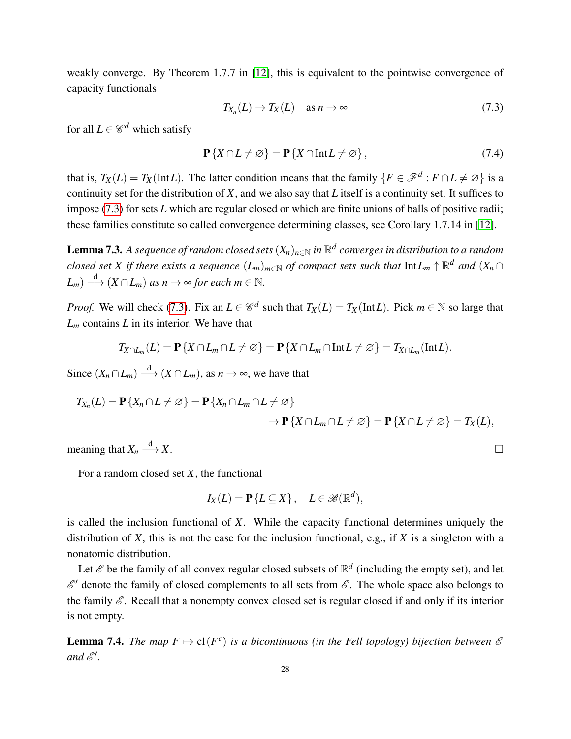weakly converge. By Theorem 1.7.7 in [\[12\]](#page-34-6), this is equivalent to the pointwise convergence of capacity functionals

<span id="page-27-1"></span>
$$
T_{X_n}(L) \to T_X(L) \quad \text{as } n \to \infty \tag{7.3}
$$

for all  $L \in \mathscr{C}^d$  which satisfy

$$
\mathbf{P}\{X \cap L \neq \varnothing\} = \mathbf{P}\{X \cap \text{Int}L \neq \varnothing\},\tag{7.4}
$$

that is,  $T_X(L) = T_X(\text{Int }L)$ . The latter condition means that the family  $\{F \in \mathcal{F}^d : F \cap L \neq \emptyset\}$  is a continuity set for the distribution of *X*, and we also say that *L* itself is a continuity set. It suffices to impose [\(7.3\)](#page-27-1) for sets *L* which are regular closed or which are finite unions of balls of positive radii; these families constitute so called convergence determining classes, see Corollary 1.7.14 in [\[12\]](#page-34-6).

<span id="page-27-0"></span> ${\bf L}$ emma 7.3. A sequence of random closed sets  $(X_n)_{n\in\mathbb{N}}$  in  $\mathbb{R}^d$  converges in distribution to a random  $c$ losed set  $X$  if there exists a sequence  $(L_m)_{m\in\mathbb{N}}$  of compact sets such that  $\mathrm{Int}L_m\uparrow\mathbb{R}^d$  and  $(X_n\cap L_m)$  $(L_m) \stackrel{d}{\longrightarrow} (X \cap L_m)$  *as n*  $\rightarrow \infty$  *for each m*  $\in \mathbb{N}$ *.* 

*Proof.* We will check [\(7.3\)](#page-27-1). Fix an  $L \in \mathcal{C}^d$  such that  $T_X(L) = T_X(\text{Int }L)$ . Pick  $m \in \mathbb{N}$  so large that *L<sup>m</sup>* contains *L* in its interior. We have that

$$
T_{X\cap L_m}(L)=\mathbf{P}\left\{X\cap L_m\cap L\neq\varnothing\right\}=\mathbf{P}\left\{X\cap L_m\cap\mathrm{Int}\,L\neq\varnothing\right\}=T_{X\cap L_m}(\mathrm{Int}\,L).
$$

Since  $(X_n \cap L_m) \stackrel{d}{\longrightarrow} (X \cap L_m)$ , as  $n \to \infty$ , we have that

$$
T_{X_n}(L) = \mathbf{P}\{X_n \cap L \neq \emptyset\} = \mathbf{P}\{X_n \cap L_m \cap L \neq \emptyset\}
$$
  
 
$$
\rightarrow \mathbf{P}\{X \cap L_m \cap L \neq \emptyset\} = \mathbf{P}\{X \cap L \neq \emptyset\} = T_X(L),
$$

meaning that  $X_n \stackrel{d}{\longrightarrow}$  $\stackrel{d}{\longrightarrow} X.$ 

For a random closed set *X*, the functional

$$
I_X(L) = \mathbf{P}\{L \subseteq X\}, \quad L \in \mathscr{B}(\mathbb{R}^d),
$$

is called the inclusion functional of *X*. While the capacity functional determines uniquely the distribution of *X*, this is not the case for the inclusion functional, e.g., if *X* is a singleton with a nonatomic distribution.

Let  $\mathscr E$  be the family of all convex regular closed subsets of  $\mathbb R^d$  (including the empty set), and let  $\mathscr{E}'$  denote the family of closed complements to all sets from  $\mathscr{E}$ . The whole space also belongs to the family  $\mathscr E$ . Recall that a nonempty convex closed set is regular closed if and only if its interior is not empty.

<span id="page-27-2"></span>**Lemma 7.4.** *The map*  $F \mapsto \text{cl}(F^c)$  *is a bicontinuous (in the Fell topology) bijection between*  $\mathscr E$ and  $\mathscr{E}'$ .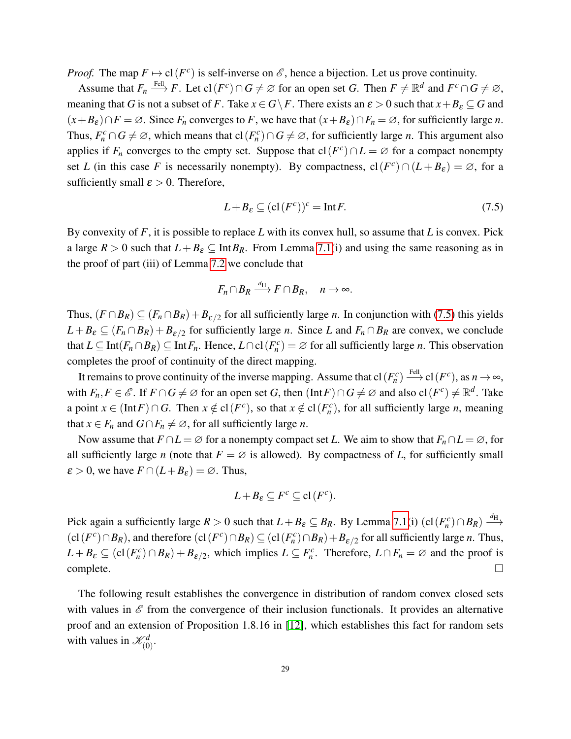*Proof.* The map  $F \mapsto \text{cl}(F^c)$  is self-inverse on  $\mathscr E$ , hence a bijection. Let us prove continuity.

Assume that  $F_n \stackrel{\text{FeII}}{\longrightarrow} F$ . Let  $\text{cl}(F^c) \cap G \neq \varnothing$  for an open set *G*. Then  $F \neq \mathbb{R}^d$  and  $F^c \cap G \neq \varnothing$ , meaning that *G* is not a subset of *F*. Take  $x \in G \backslash F$ . There exists an  $\varepsilon > 0$  such that  $x + B_{\varepsilon} \subseteq G$  and  $(x + B_{\varepsilon}) \cap F = \emptyset$ . Since  $F_n$  converges to *F*, we have that  $(x + B_{\varepsilon}) \cap F_n = \emptyset$ , for sufficiently large *n*. Thus,  $F_n^c \cap G \neq \emptyset$ , which means that  $cl(F_n^c) \cap G \neq \emptyset$ , for sufficiently large *n*. This argument also applies if  $F_n$  converges to the empty set. Suppose that  $cl(F^c) \cap L = \emptyset$  for a compact nonempty set *L* (in this case *F* is necessarily nonempty). By compactness,  $cl(F^c) \cap (L + B_{\varepsilon}) = \emptyset$ , for a sufficiently small  $\varepsilon > 0$ . Therefore,

<span id="page-28-0"></span>
$$
L + B_{\varepsilon} \subseteq (\text{cl}(F^{c}))^{c} = \text{Int} F. \tag{7.5}
$$

By convexity of *F*, it is possible to replace *L* with its convex hull, so assume that *L* is convex. Pick a large  $R > 0$  such that  $L + B_{\varepsilon} \subseteq \text{Int} B_R$ . From Lemma [7.1\(](#page-24-0)i) and using the same reasoning as in the proof of part (iii) of Lemma [7.2](#page-25-0) we conclude that

$$
F_n \cap B_R \xrightarrow{d_H} F \cap B_R, \quad n \to \infty.
$$

Thus,  $(F \cap B_R) \subseteq (F_n \cap B_R) + B_{\varepsilon/2}$  for all sufficiently large *n*. In conjunction with [\(7.5\)](#page-28-0) this yields  $L + B_{\varepsilon} \subseteq (F_n \cap B_R) + B_{\varepsilon/2}$  for sufficiently large *n*. Since *L* and  $F_n \cap B_R$  are convex, we conclude that  $L \subseteq \text{Int}(F_n \cap B_R) \subseteq \text{Int}F_n$ . Hence,  $L \cap cl(F_n^c) = \emptyset$  for all sufficiently large *n*. This observation completes the proof of continuity of the direct mapping.

It remains to prove continuity of the inverse mapping. Assume that  $cl(F_n^c) \xrightarrow{Fell} cl(F^c)$ , as  $n \to \infty$ , with  $F_n, F \in \mathscr{E}$ . If  $F \cap G \neq \emptyset$  for an open set *G*, then  $(\text{Int } F) \cap G \neq \emptyset$  and also  $cl(F^c) \neq \mathbb{R}^d$ . Take a point  $x \in (\text{Int } F) \cap G$ . Then  $x \notin cl(F^c)$ , so that  $x \notin cl(F_n^c)$ , for all sufficiently large *n*, meaning that *x*  $\in$  *F*<sub>*n*</sub> and *G*  $\cap$  *F*<sub>*n*</sub>  $\neq \emptyset$ , for all sufficiently large *n*.

Now assume that  $F \cap L = \emptyset$  for a nonempty compact set *L*. We aim to show that  $F_n \cap L = \emptyset$ , for all sufficiently large *n* (note that  $F = \emptyset$  is allowed). By compactness of *L*, for sufficiently small  $\varepsilon > 0$ , we have  $F \cap (L + B_{\varepsilon}) = \emptyset$ . Thus,

$$
L + B_{\varepsilon} \subseteq F^c \subseteq cl(F^c).
$$

Pick again a sufficiently large  $R > 0$  such that  $L + B_{\varepsilon} \subseteq B_R$ . By Lemma [7.1\(](#page-24-0)i)  $|c1(F_n^c) \cap B_R| \xrightarrow{d_H}$  $(cl(F<sup>c</sup>) \cap B_R)$ , and therefore  $(cl(F<sup>c</sup>) \cap B_R) \subseteq (cl(F<sup>c</sup><sub>n</sub>) \cap B_R) + B_{\varepsilon/2}$  for all sufficiently large *n*. Thus,  $L + B_{\varepsilon} \subseteq (cl(F_n^c) \cap B_R) + B_{\varepsilon/2}$ , which implies  $L \subseteq F_n^c$ . Therefore,  $L \cap F_n = \emptyset$  and the proof is  $\Box$ complete.  $\Box$ 

The following result establishes the convergence in distribution of random convex closed sets with values in  $\mathscr E$  from the convergence of their inclusion functionals. It provides an alternative proof and an extension of Proposition 1.8.16 in [\[12\]](#page-34-6), which establishes this fact for random sets with values in  $\mathcal{K}_{(0)}^d$ .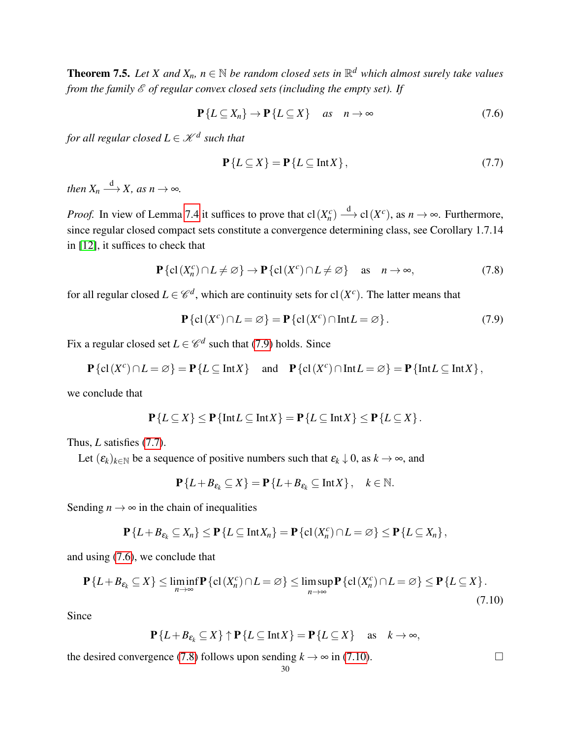<span id="page-29-0"></span>**Theorem 7.5.** Let X and  $X_n$ ,  $n \in \mathbb{N}$  be random closed sets in  $\mathbb{R}^d$  which almost surely take values *from the family*  $\mathcal{E}$  *of regular convex closed sets (including the empty set). If* 

<span id="page-29-3"></span>
$$
\mathbf{P}\{L \subseteq X_n\} \to \mathbf{P}\{L \subseteq X\} \quad \text{as} \quad n \to \infty \tag{7.6}
$$

*for all regular closed*  $L \in \mathscr{K}^{d}$  *such that* 

<span id="page-29-2"></span>
$$
\mathbf{P}\{L \subseteq X\} = \mathbf{P}\{L \subseteq \text{Int}X\},\tag{7.7}
$$

*then*  $X_n \xrightarrow{d} X$ *, as n*  $\rightarrow \infty$ *.* 

*Proof.* In view of Lemma [7.4](#page-27-2) it suffices to prove that  $cl(X_n^c) \xrightarrow{d} cl(X^c)$ , as  $n \to \infty$ . Furthermore, since regular closed compact sets constitute a convergence determining class, see Corollary 1.7.14 in [\[12\]](#page-34-6), it suffices to check that

<span id="page-29-4"></span>
$$
\mathbf{P}\{\mathrm{cl}\,(X_n^c)\cap L\neq\varnothing\}\to\mathbf{P}\{\mathrm{cl}\,(X^c)\cap L\neq\varnothing\}\quad\text{as}\quad n\to\infty,\tag{7.8}
$$

for all regular closed  $L \in \mathscr{C}^d$ , which are continuity sets for cl( $X^c$ ). The latter means that

<span id="page-29-1"></span>
$$
\mathbf{P}\{\mathrm{cl}(X^c)\cap L=\varnothing\}=\mathbf{P}\{\mathrm{cl}(X^c)\cap\mathrm{Int}L=\varnothing\}.\tag{7.9}
$$

Fix a regular closed set  $L \in \mathscr{C}^d$  such that [\(7.9\)](#page-29-1) holds. Since

$$
\mathbf{P}\{\mathrm{cl}\,(X^c)\cap L=\varnothing\}=\mathbf{P}\{L\subseteq\mathrm{Int}\,X\}\quad\text{ and }\quad\mathbf{P}\{\mathrm{cl}\,(X^c)\cap\mathrm{Int}\,L=\varnothing\}=\mathbf{P}\{\mathrm{Int}\,L\subseteq\mathrm{Int}\,X\}\,,
$$

we conclude that

$$
\mathbf{P}\{L\subseteq X\}\leq \mathbf{P}\{\text{Int }L\subseteq \text{Int }X\}=\mathbf{P}\{L\subseteq \text{Int }X\}\leq \mathbf{P}\{L\subseteq X\}.
$$

Thus, *L* satisfies [\(7.7\)](#page-29-2).

Let  $(\varepsilon_k)_{k \in \mathbb{N}}$  be a sequence of positive numbers such that  $\varepsilon_k \downarrow 0$ , as  $k \to \infty$ , and

$$
\mathbf{P}\{L+B_{\varepsilon_k}\subseteq X\}=\mathbf{P}\{L+B_{\varepsilon_k}\subseteq\text{Int}X\}\,,\quad k\in\mathbb{N}.
$$

Sending  $n \rightarrow \infty$  in the chain of inequalities

$$
\mathbf{P}\left\{L+B_{\varepsilon_k}\subseteq X_n\right\}\leq \mathbf{P}\left\{L\subseteq\mathrm{Int}X_n\right\}=\mathbf{P}\left\{\mathrm{cl}\left(X_n^c\right)\cap L=\varnothing\right\}\leq \mathbf{P}\left\{L\subseteq X_n\right\},\
$$

and using [\(7.6\)](#page-29-3), we conclude that

<span id="page-29-5"></span>
$$
\mathbf{P}\{L + B_{\varepsilon_k} \subseteq X\} \le \liminf_{n \to \infty} \mathbf{P}\{\text{cl}(X_n^c) \cap L = \varnothing\} \le \limsup_{n \to \infty} \mathbf{P}\{\text{cl}(X_n^c) \cap L = \varnothing\} \le \mathbf{P}\{L \subseteq X\}.
$$
\n(7.10)

Since

$$
\mathbf{P}\{L+B_{\varepsilon_k}\subseteq X\}\uparrow \mathbf{P}\{L\subseteq \text{Int}X\}=\mathbf{P}\{L\subseteq X\}\quad \text{as}\quad k\to\infty,
$$

the desired convergence [\(7.8\)](#page-29-4) follows upon sending  $k \to \infty$  in [\(7.10\)](#page-29-5).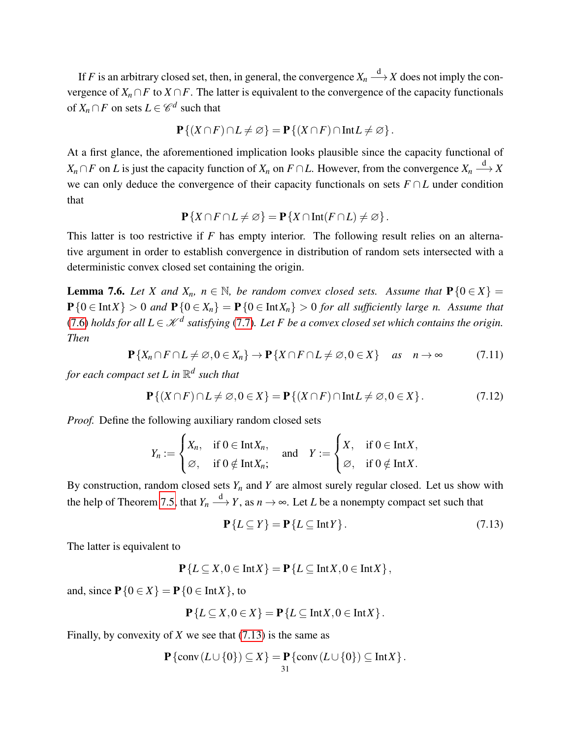If *F* is an arbitrary closed set, then, in general, the convergence  $X_n \stackrel{d}{\longrightarrow} X$  does not imply the convergence of  $X_n \cap F$  to  $X \cap F$ . The latter is equivalent to the convergence of the capacity functionals of  $X_n \cap F$  on sets  $L \in \mathscr{C}^d$  such that

$$
\mathbf{P}\{(X\cap F)\cap L\neq\varnothing\}=\mathbf{P}\{(X\cap F)\cap\mathrm{Int}L\neq\varnothing\}.
$$

At a first glance, the aforementioned implication looks plausible since the capacity functional of  $X_n \cap F$  on *L* is just the capacity function of  $X_n$  on  $F \cap L$ . However, from the convergence  $X_n \stackrel{d}{\longrightarrow} X$ we can only deduce the convergence of their capacity functionals on sets *F* ∩*L* under condition that

$$
\mathbf{P}\{X\cap F\cap L\neq\varnothing\}=\mathbf{P}\{X\cap\mathrm{Int}(F\cap L)\neq\varnothing\}.
$$

This latter is too restrictive if *F* has empty interior. The following result relies on an alternative argument in order to establish convergence in distribution of random sets intersected with a deterministic convex closed set containing the origin.

<span id="page-30-0"></span>**Lemma 7.6.** *Let X* and  $X_n$ ,  $n \in \mathbb{N}$ , be random convex closed sets. Assume that  $P\{0 \in X\}$  =  $P\{0 \in \text{Int } X\} > 0$  and  $P\{0 \in X_n\} = P\{0 \in \text{Int } X_n\} > 0$  for all sufficiently large n. Assume that [\(7.6\)](#page-29-3) holds for all  $L \in \mathcal{K}^d$  satisfying [\(7.7\)](#page-29-2). Let F be a convex closed set which contains the origin. *Then*

<span id="page-30-2"></span>
$$
\mathbf{P}\{X_n \cap F \cap L \neq \emptyset, 0 \in X_n\} \to \mathbf{P}\{X \cap F \cap L \neq \emptyset, 0 \in X\} \quad \text{as} \quad n \to \infty \tag{7.11}
$$

*for each compact set L in* R *d such that*

<span id="page-30-3"></span>
$$
\mathbf{P}\{(X \cap F) \cap L \neq \varnothing, 0 \in X\} = \mathbf{P}\{(X \cap F) \cap \text{Int}L \neq \varnothing, 0 \in X\}.
$$
 (7.12)

*Proof.* Define the following auxiliary random closed sets

$$
Y_n := \begin{cases} X_n, & \text{if } 0 \in \text{Int} X_n, \\ \varnothing, & \text{if } 0 \notin \text{Int} X_n; \end{cases} \quad \text{and} \quad Y := \begin{cases} X, & \text{if } 0 \in \text{Int} X, \\ \varnothing, & \text{if } 0 \notin \text{Int} X. \end{cases}
$$

By construction, random closed sets  $Y_n$  and  $Y$  are almost surely regular closed. Let us show with the help of Theorem [7.5,](#page-29-0) that  $Y_n \stackrel{\text{d}}{\longrightarrow} Y$ , as  $n \to \infty$ . Let *L* be a nonempty compact set such that

<span id="page-30-1"></span>
$$
\mathbf{P}\{L \subseteq Y\} = \mathbf{P}\{L \subseteq \text{Int}Y\}.
$$
\n(7.13)

The latter is equivalent to

$$
\mathbf{P}\{L\subseteq X,0\in \mathrm{Int}X\}=\mathbf{P}\{L\subseteq \mathrm{Int}X,0\in \mathrm{Int}X\},\
$$

and, since  $P\{0 \in X\} = P\{0 \in \text{Int } X\}$ , to

$$
\mathbf{P}\{L\subseteq X, 0\in X\} = \mathbf{P}\{L\subseteq \text{Int}X, 0\in \text{Int}X\}.
$$

Finally, by convexity of *X* we see that [\(7.13\)](#page-30-1) is the same as

$$
\mathbf{P} \{\mathrm{conv}\,(L \cup \{0\}) \subseteq X\} = \mathbf{P} \{\mathrm{conv}\,(L \cup \{0\}) \subseteq \mathrm{Int}X\}.
$$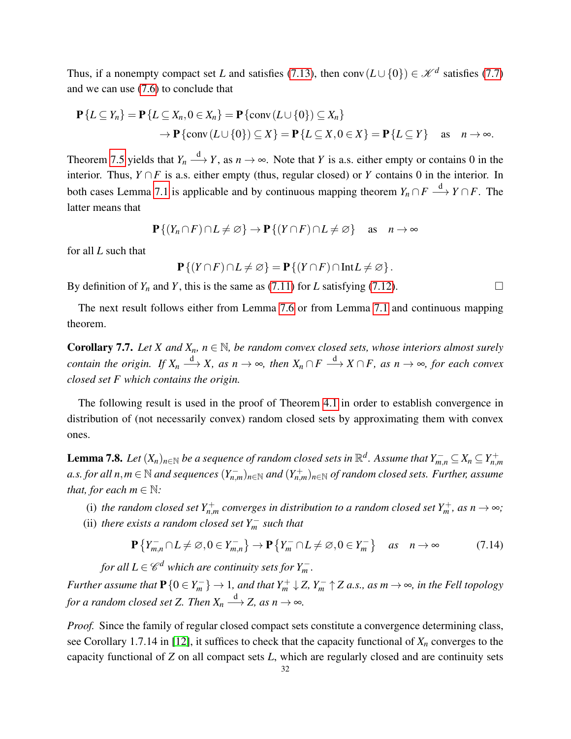Thus, if a nonempty compact set *L* and satisfies [\(7.13\)](#page-30-1), then conv $(L \cup \{0\}) \in \mathcal{K}^d$  satisfies [\(7.7\)](#page-29-2) and we can use [\(7.6\)](#page-29-3) to conclude that

$$
\mathbf{P}\{L \subseteq Y_n\} = \mathbf{P}\{L \subseteq X_n, 0 \in X_n\} = \mathbf{P}\{\text{conv}\left(L \cup \{0\}\right) \subseteq X_n\}
$$
  
\n
$$
\rightarrow \mathbf{P}\{\text{conv}\left(L \cup \{0\}\right) \subseteq X\} = \mathbf{P}\{L \subseteq X, 0 \in X\} = \mathbf{P}\{L \subseteq Y\} \text{ as } n \to \infty.
$$

Theorem [7.5](#page-29-0) yields that  $Y_n \stackrel{d}{\longrightarrow} Y$ , as  $n \to \infty$ . Note that *Y* is a.s. either empty or contains 0 in the interior. Thus,  $Y \cap F$  is a.s. either empty (thus, regular closed) or *Y* contains 0 in the interior. In both cases Lemma [7.1](#page-24-0) is applicable and by continuous mapping theorem  $Y_n \cap F \stackrel{d}{\longrightarrow} Y \cap F$ . The latter means that

$$
\mathbf{P}\{(Y_n \cap F) \cap L \neq \varnothing\} \to \mathbf{P}\{(Y \cap F) \cap L \neq \varnothing\} \quad \text{as} \quad n \to \infty
$$

for all *L* such that

$$
\mathbf{P}\{(Y\cap F)\cap L\neq\varnothing\}=\mathbf{P}\{(Y\cap F)\cap\mathrm{Int}L\neq\varnothing\}.
$$

By definition of  $Y_n$  and  $Y$ , this is the same as [\(7.11\)](#page-30-2) for *L* satisfying [\(7.12\)](#page-30-3).

The next result follows either from Lemma [7.6](#page-30-0) or from Lemma [7.1](#page-24-0) and continuous mapping theorem.

<span id="page-31-1"></span>**Corollary 7.7.** *Let X and*  $X_n$ *,*  $n \in \mathbb{N}$ *, be random convex closed sets, whose interiors almost surely contain the origin.* If  $X_n \stackrel{d}{\longrightarrow} X$ *, as n*  $\to \infty$ *, then*  $X_n \cap F \stackrel{d}{\longrightarrow} X \cap F$ *, as n*  $\to \infty$ *, for each convex closed set F which contains the origin.*

The following result is used in the proof of Theorem [4.1](#page-10-1) in order to establish convergence in distribution of (not necessarily convex) random closed sets by approximating them with convex ones.

<span id="page-31-0"></span>Lemma 7.8. Let  $(X_n)_{n\in\mathbb{N}}$  be a sequence of random closed sets in  $\mathbb{R}^d$ . Assume that  $Y^-_{m,n}\subseteq X_n\subseteq Y^+_{n,m}$ a.s. for all  $n,m\in\mathbb{N}$  and sequences  $(Y_{n,m}^-)_{n\in\mathbb{N}}$  and  $(Y_{n,m}^+)_{n\in\mathbb{N}}$  of random closed sets. Further, assume *that, for each*  $m \in \mathbb{N}$ *:* 

- (i) the random closed set  $Y_{n,m}^+$  converges in distribution to a random closed set  $Y_m^+$ , as  $n \to \infty$ ;
- (ii) *there exists a random closed set*  $Y_m^-$  *such that*

<span id="page-31-2"></span>
$$
\mathbf{P}\left\{Y_{m,n}^{-} \cap L \neq \emptyset, 0 \in Y_{m,n}^{-}\right\} \to \mathbf{P}\left\{Y_{m}^{-} \cap L \neq \emptyset, 0 \in Y_{m}^{-}\right\} \quad \text{as} \quad n \to \infty \tag{7.14}
$$

*for all*  $L \in \mathscr{C}^d$  *which are continuity sets for*  $Y_m^-$ *.* 

*Further assume that*  $P$  { $0 \in Y_m^-\}$   $\to$  1*, and that*  $Y_m^+ \downarrow Z$ ,  $Y_m^- \uparrow Z$  *a.s., as m*  $\to \infty$ *, in the Fell topology* for a random closed set Z. Then  $X_n \stackrel{\text{d}}{\longrightarrow} Z$ , as  $n \to \infty$ .

*Proof.* Since the family of regular closed compact sets constitute a convergence determining class, see Corollary 1.7.14 in [\[12\]](#page-34-6), it suffices to check that the capacity functional of  $X_n$  converges to the capacity functional of *Z* on all compact sets *L*, which are regularly closed and are continuity sets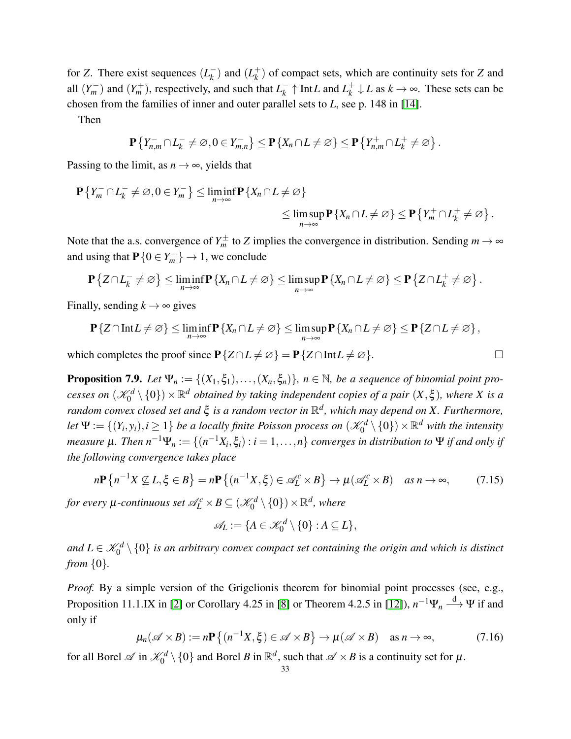for *Z*. There exist sequences  $(L_k^-)$  $\binom{k}{k}$  and  $\binom{k}{k}$ *k* ) of compact sets, which are continuity sets for *Z* and all  $(Y_m^-)$  and  $(Y_m^+)$ , respectively, and such that  $L_k^ \frac{1}{k} \uparrow$  Int*L* and  $L_k^+$  $k$ <sup>+</sup> ↓ *L* as  $k \to \infty$ . These sets can be chosen from the families of inner and outer parallel sets to *L*, see p. 148 in [\[14\]](#page-34-3).

Then

$$
\mathbf{P}\left\{Y_{n,m}^{-}\cap L_{k}^{-}\neq\varnothing,0\in Y_{m,n}^{-}\right\}\leq\mathbf{P}\left\{X_{n}\cap L\neq\varnothing\right\}\leq\mathbf{P}\left\{Y_{n,m}^{+}\cap L_{k}^{+}\neq\varnothing\right\}.
$$

Passing to the limit, as  $n \to \infty$ , yields that

$$
\mathbf{P}\left\{Y_m^-\cap L_k^-\neq\emptyset, 0\in Y_m^-\right\}\leq \liminf_{n\to\infty} \mathbf{P}\left\{X_n\cap L\neq\emptyset\right\}
$$
  

$$
\leq \limsup_{n\to\infty} \mathbf{P}\left\{X_n\cap L\neq\emptyset\right\} \leq \mathbf{P}\left\{Y_m^+\cap L_k^+\neq\emptyset\right\}.
$$

Note that the a.s. convergence of  $Y_m^{\pm}$  to *Z* implies the convergence in distribution. Sending  $m \to \infty$ and using that  $P\{0 \in Y_m^- \} \to 1$ , we conclude

$$
\mathbf{P}\left\{Z\cap L_{k}^{-}\neq\varnothing\right\}\leq\liminf_{n\to\infty}\mathbf{P}\left\{X_n\cap L\neq\varnothing\right\}\leq\limsup_{n\to\infty}\mathbf{P}\left\{X_n\cap L\neq\varnothing\right\}\leq\mathbf{P}\left\{Z\cap L_{k}^{+}\neq\varnothing\right\}.
$$

Finally, sending  $k \to \infty$  gives

$$
\mathbf{P}\{Z\cap\mathrm{Int}L\neq\varnothing\}\leq\liminf_{n\to\infty}\mathbf{P}\{X_n\cap L\neq\varnothing\}\leq\limsup_{n\to\infty}\mathbf{P}\{X_n\cap L\neq\varnothing\}\leq\mathbf{P}\{Z\cap L\neq\varnothing\}\,,
$$

which completes the proof since  $P\{Z \cap L \neq \emptyset\} = P\{Z \cap Int L \neq \emptyset\}.$ 

<span id="page-32-0"></span>**Proposition 7.9.** *Let*  $\Psi_n := \{(X_1, \xi_1), \ldots, (X_n, \xi_n)\}\$ ,  $n \in \mathbb{N}$ , be a sequence of binomial point pro*cesses on*  $(\mathscr{K}_0^d\setminus\{0\})\times\mathbb{R}^d$  *obtained by taking independent copies of a pair*  $(X,\xi)$ *, where X is a random convex closed set and* ξ *is a random vector in* R *d , which may depend on X. Furthermore,* Let  $\Psi := \{(Y_i, y_i), i \geq 1\}$  be a locally finite Poisson process on  $(\mathscr{K}_0^d \setminus \{0\}) \times \mathbb{R}^d$  with the intensity *measure*  $\mu$ *. Then*  $n^{-1}\Psi_n := \{(n^{-1}X_i, \xi_i): i = 1, \ldots, n\}$  converges in distribution to  $\Psi$  *if and only if the following convergence takes place*

<span id="page-32-1"></span>
$$
n\mathbf{P}\left\{n^{-1}X \not\subseteq L,\xi \in B\right\} = n\mathbf{P}\left\{(n^{-1}X,\xi) \in \mathscr{A}_L^c \times B\right\} \to \mu(\mathscr{A}_L^c \times B) \quad \text{as } n \to \infty,\tag{7.15}
$$

for every  $\mu$ -continuous set  $\mathscr{A}_{L}^{c}\times B\subseteq (\mathscr{K}_{0}^{d}\setminus\{0\})\times\mathbb{R}^{d},$  where

$$
\mathscr{A}_L := \{ A \in \mathscr{K}_0^d \setminus \{0\} : A \subseteq L \},\
$$

and  $L \in \mathscr{K}_0^d \setminus \{0\}$  is an arbitrary convex compact set containing the origin and which is distinct *from* {0}*.*

*Proof.* By a simple version of the Grigelionis theorem for binomial point processes (see, e.g., Proposition 11.1.IX in [\[2\]](#page-34-13) or Corollary 4.25 in [\[8\]](#page-34-14) or Theorem 4.2.5 in [\[12\]](#page-34-6)),  $n^{-1}\Psi_n \stackrel{d}{\longrightarrow} \Psi$  if and only if

<span id="page-32-2"></span>
$$
\mu_n(\mathscr{A}\times B) := n\mathbf{P}\left\{ (n^{-1}X,\xi) \in \mathscr{A}\times B \right\} \to \mu(\mathscr{A}\times B) \quad \text{as } n \to \infty,
$$
 (7.16)

for all Borel  $\mathscr A$  in  $\mathscr K_0^d\setminus\{0\}$  and Borel *B* in  $\mathbb R^d$ , such that  $\mathscr A\times B$  is a continuity set for  $\mu$ .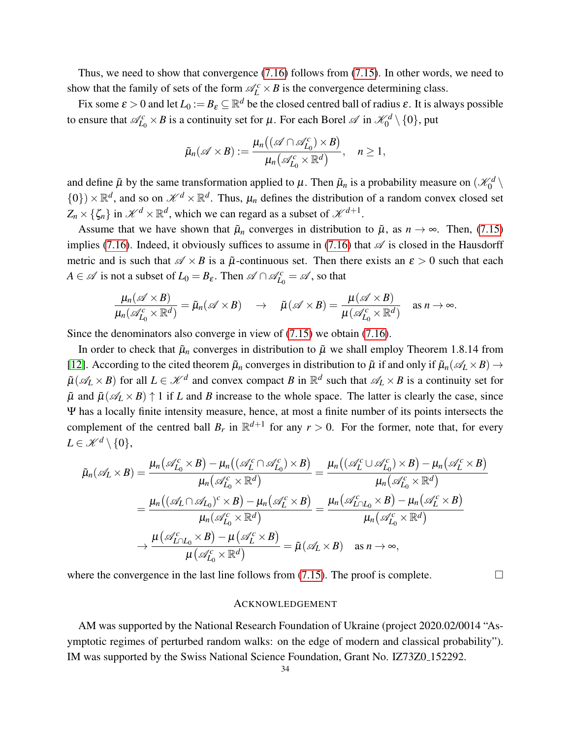Thus, we need to show that convergence [\(7.16\)](#page-32-2) follows from [\(7.15\)](#page-32-1). In other words, we need to show that the family of sets of the form  $\mathcal{A}_L^c \times B$  is the convergence determining class.

Fix some  $\varepsilon > 0$  and let  $L_0 := B_\varepsilon \subseteq \mathbb{R}^d$  be the closed centred ball of radius  $\varepsilon$ . It is always possible to ensure that  $\mathscr{A}_{L_0}^c\times B$  is a continuity set for  $\mu$ . For each Borel  $\mathscr{A}$  in  $\mathscr{K}_0^d\setminus\{0\}$ , put

$$
\tilde{\mu}_n(\mathscr{A}\times B):=\frac{\mu_n((\mathscr{A}\cap\mathscr{A}_{L_0}^c)\times B)}{\mu_n(\mathscr{A}_{L_0}^c\times\mathbb{R}^d)},\quad n\geq 1,
$$

and define  $\tilde{\mu}$  by the same transformation applied to  $\mu$ . Then  $\tilde{\mu}_n$  is a probability measure on  $(\mathscr{K}_0^d \setminus$  $\{0\}$ )  $\times \mathbb{R}^d$ , and so on  $\mathcal{K}^d \times \mathbb{R}^d$ . Thus,  $\mu_n$  defines the distribution of a random convex closed set  $Z_n \times {\{\zeta_n\}}$  in  $\mathscr{K}^d \times \mathbb{R}^d$ , which we can regard as a subset of  $\mathscr{K}^{d+1}$ .

Assume that we have shown that  $\tilde{\mu}_n$  converges in distribution to  $\tilde{\mu}$ , as  $n \to \infty$ . Then, [\(7.15\)](#page-32-1) implies [\(7.16\)](#page-32-2). Indeed, it obviously suffices to assume in (7.16) that  $\mathscr A$  is closed in the Hausdorff metric and is such that  $\mathscr{A} \times B$  is a  $\tilde{\mu}$ -continuous set. Then there exists an  $\varepsilon > 0$  such that each *A*  $\in \mathscr{A}$  is not a subset of  $L_0 = B_{\varepsilon}$ . Then  $\mathscr{A} \cap \mathscr{A}_{L_0}^c = \mathscr{A}$ , so that

$$
\frac{\mu_n(\mathscr{A}\times B)}{\mu_n(\mathscr{A}_{L_0}^c\times\mathbb{R}^d)}=\tilde{\mu}_n(\mathscr{A}\times B)\quad\rightarrow\quad\tilde{\mu}(\mathscr{A}\times B)=\frac{\mu(\mathscr{A}\times B)}{\mu(\mathscr{A}_{L_0}^c\times\mathbb{R}^d)}\quad\text{as }n\rightarrow\infty.
$$

Since the denominators also converge in view of [\(7.15\)](#page-32-1) we obtain [\(7.16\)](#page-32-2).

In order to check that  $\tilde{\mu}_n$  converges in distribution to  $\tilde{\mu}$  we shall employ Theorem 1.8.14 from [\[12\]](#page-34-6). According to the cited theorem  $\tilde{\mu}_n$  converges in distribution to  $\tilde{\mu}$  if and only if  $\tilde{\mu}_n(\mathscr{A}_L \times B) \to$  $\tilde{\mu}(\mathscr{A}_L \times B)$  for all  $L \in \mathscr{K}^d$  and convex compact *B* in  $\mathbb{R}^d$  such that  $\mathscr{A}_L \times B$  is a continuity set for  $\tilde{\mu}$  and  $\tilde{\mu}(\mathscr{A}_L \times B) \uparrow 1$  if *L* and *B* increase to the whole space. The latter is clearly the case, since Ψ has a locally finite intensity measure, hence, at most a finite number of its points intersects the complement of the centred ball  $B_r$  in  $\mathbb{R}^{d+1}$  for any  $r > 0$ . For the former, note that, for every  $L \in \mathcal{K}^d \setminus \{0\},\$ 

$$
\tilde{\mu}_{n}(\mathscr{A}_{L} \times B) = \frac{\mu_{n}(\mathscr{A}_{L_{0}}^{c} \times B) - \mu_{n}((\mathscr{A}_{L}^{c} \cap \mathscr{A}_{L_{0}}^{c}) \times B)}{\mu_{n}(\mathscr{A}_{L_{0}}^{c} \times \mathbb{R}^{d})} = \frac{\mu_{n}((\mathscr{A}_{L}^{c} \cup \mathscr{A}_{L_{0}}^{c}) \times B) - \mu_{n}(\mathscr{A}_{L}^{c} \times B)}{\mu_{n}(\mathscr{A}_{L_{0}}^{c} \times \mathbb{R}^{d})}
$$
\n
$$
= \frac{\mu_{n}((\mathscr{A}_{L} \cap \mathscr{A}_{L_{0}})^{c} \times B) - \mu_{n}(\mathscr{A}_{L}^{c} \times B)}{\mu_{n}(\mathscr{A}_{L_{0}}^{c} \times \mathbb{R}^{d})} = \frac{\mu_{n}(\mathscr{A}_{L}^{c} \cap L_{0} \times B) - \mu_{n}(\mathscr{A}_{L}^{c} \times B)}{\mu_{n}(\mathscr{A}_{L_{0}}^{c} \times \mathbb{R}^{d})}
$$
\n
$$
\to \frac{\mu(\mathscr{A}_{L \cap L_{0}}^{c} \times B) - \mu(\mathscr{A}_{L}^{c} \times B)}{\mu(\mathscr{A}_{L_{0}}^{c} \times \mathbb{R}^{d})} = \tilde{\mu}(\mathscr{A}_{L} \times B) \quad \text{as } n \to \infty,
$$

where the convergence in the last line follows from  $(7.15)$ . The proof is complete.

#### ACKNOWLEDGEMENT

AM was supported by the National Research Foundation of Ukraine (project 2020.02/0014 "Asymptotic regimes of perturbed random walks: on the edge of modern and classical probability"). IM was supported by the Swiss National Science Foundation, Grant No. IZ73Z0 152292.